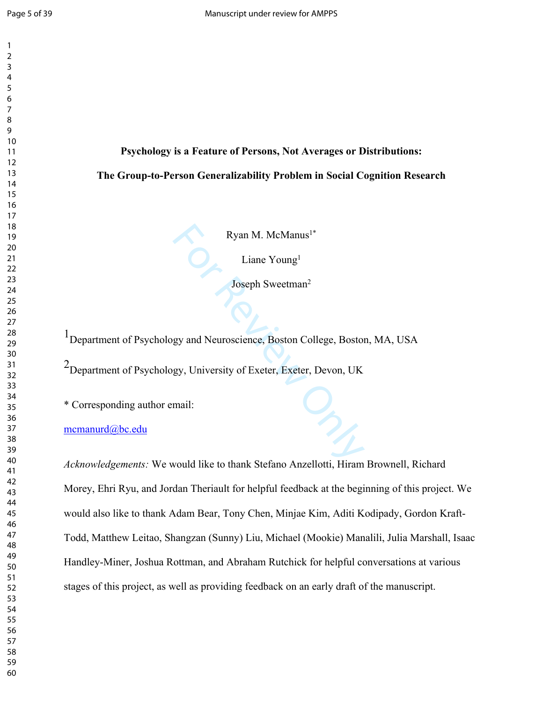$\mathbf{1}$ 

# **Psychology is a Feature of Persons, Not Averages or Distributions: The Group-to-Person Generalizability Problem in Social Cognition Research**

Liane Young 1

Joseph Sweetman 2

1Department of Psychology and Neuroscience, Boston College, Boston, MA, USA

Ryan M. McManus<sup>1\*</sup><br>Liane Young<sup>1</sup><br>Joseph Sweetman<sup>2</sup><br>gy and Neuroscience, Boston College, Boston<br>gy, University of Exeter, Exeter, Devon, UK<br>mail:<br>would like to thank Stefano Anzellotti, Hiram 2Department of Psychology, University of Exeter, Exeter, Devon, UK

\* Corresponding author email:

## [mcmanurd@bc.edu](mailto:mcmanurd@bc.edu)

*Acknowledgements:* We would like to thank Stefano Anzellotti, Hiram Brownell, Richard Morey, Ehri Ryu, and Jordan Theriault for helpful feedback at the beginning of this project. We would also like to thank Adam Bear, Tony Chen, Minjae Kim, Aditi Kodipady, Gordon Kraft-Todd, Matthew Leitao, Shangzan (Sunny) Liu, Michael (Mookie) Manalili, Julia Marshall, Isaac Handley-Miner, Joshua Rottman, and Abraham Rutchick for helpful conversations at various stages of this project, as well as providing feedback on an early draft of the manuscript.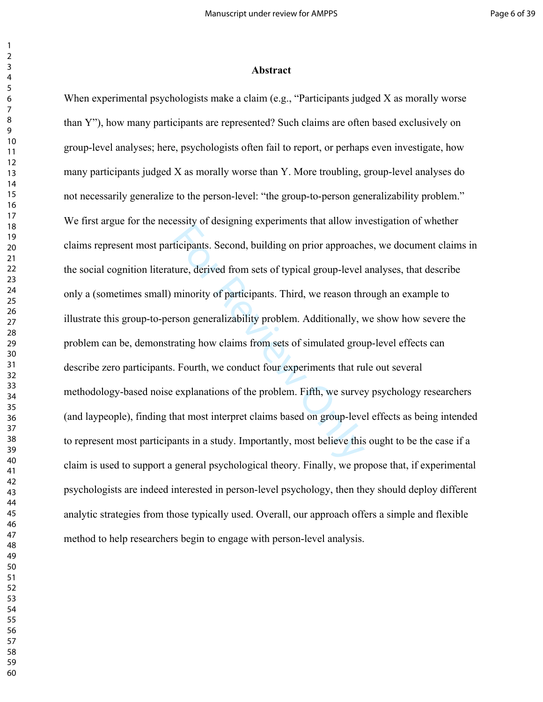#### **Abstract**

For all and the two mates of the ticipants. Second, building on prior approach<br>ture, derived from sets of typical group-level<br>minority of participants. Third, we reason thr<br>rson generalizability problem. Additionally, v<br>ra When experimental psychologists make a claim (e.g., "Participants judged X as morally worse than Y"), how many participants are represented? Such claims are often based exclusively on group-level analyses; here, psychologists often fail to report, or perhaps even investigate, how many participants judged X as morally worse than Y. More troubling, group-level analyses do not necessarily generalize to the person-level: "the group-to-person generalizability problem." We first argue for the necessity of designing experiments that allow investigation of whether claims represent most participants. Second, building on prior approaches, we document claims in the social cognition literature, derived from sets of typical group-level analyses, that describe only a (sometimes small) minority of participants. Third, we reason through an example to illustrate this group-to-person generalizability problem. Additionally, we show how severe the problem can be, demonstrating how claims from sets of simulated group-level effects can describe zero participants. Fourth, we conduct four experiments that rule out several methodology-based noise explanations of the problem. Fifth, we survey psychology researchers (and laypeople), finding that most interpret claims based on group-level effects as being intended to represent most participants in a study. Importantly, most believe this ought to be the case if a claim is used to support a general psychological theory. Finally, we propose that, if experimental psychologists are indeed interested in person-level psychology, then they should deploy different analytic strategies from those typically used. Overall, our approach offers a simple and flexible method to help researchers begin to engage with person-level analysis.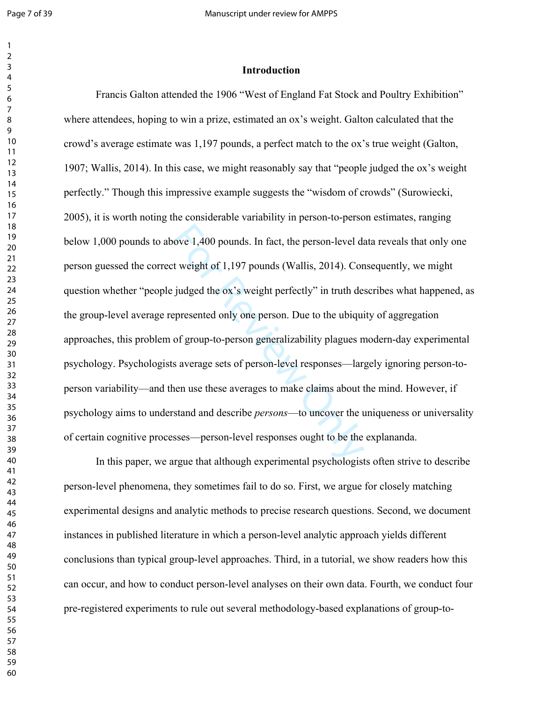#### **Introduction**

ove 1,400 pounds. In fact, the person-level dat weight of 1,197 pounds (Wallis, 2014). Con judged the ox's weight perfectly" in truth despresented only one person. Due to the ubiqui of group-to-person generalizability plag Francis Galton attended the 1906 "West of England Fat Stock and Poultry Exhibition" where attendees, hoping to win a prize, estimated an ox's weight. Galton calculated that the crowd's average estimate was 1,197 pounds, a perfect match to the ox's true weight (Galton, 1907; Wallis, 2014). In this case, we might reasonably say that "people judged the ox's weight perfectly." Though this impressive example suggests the "wisdom of crowds" (Surowiecki, 2005), it is worth noting the considerable variability in person-to-person estimates, ranging below 1,000 pounds to above 1,400 pounds. In fact, the person-level data reveals that only one person guessed the correct weight of 1,197 pounds (Wallis, 2014). Consequently, we might question whether "people judged the ox's weight perfectly" in truth describes what happened, as the group-level average represented only one person. Due to the ubiquity of aggregation approaches, this problem of group-to-person generalizability plagues modern-day experimental psychology. Psychologists average sets of person-level responses—largely ignoring person-toperson variability—and then use these averages to make claims about the mind. However, if psychology aims to understand and describe *persons*—to uncover the uniqueness or universality of certain cognitive processes—person-level responses ought to be the explananda.

In this paper, we argue that although experimental psychologists often strive to describe person-level phenomena, they sometimes fail to do so. First, we argue for closely matching experimental designs and analytic methods to precise research questions. Second, we document instances in published literature in which a person-level analytic approach yields different conclusions than typical group-level approaches. Third, in a tutorial, we show readers how this can occur, and how to conduct person-level analyses on their own data. Fourth, we conduct four pre-registered experiments to rule out several methodology-based explanations of group-to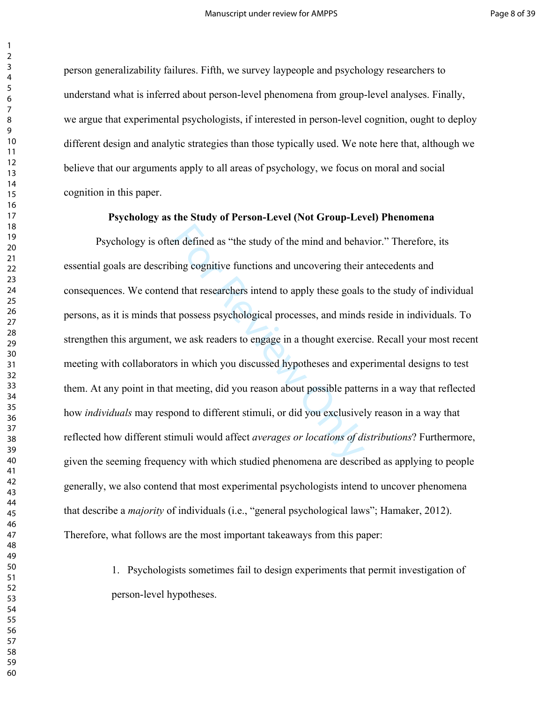person generalizability failures. Fifth, we survey laypeople and psychology researchers to understand what is inferred about person-level phenomena from group-level analyses. Finally, we argue that experimental psychologists, if interested in person-level cognition, ought to deploy different design and analytic strategies than those typically used. We note here that, although we believe that our arguments apply to all areas of psychology, we focus on moral and social cognition in this paper.

#### **Psychology as the Study of Person-Level (Not Group-Level) Phenomena**

example as "the study of the mind and behaving cognitive functions and uncovering their<br>d that researchers intend to apply these goals<br>t possess psychological processes, and minds<br>we ask readers to engage in a thought exer Psychology is often defined as "the study of the mind and behavior." Therefore, its essential goals are describing cognitive functions and uncovering their antecedents and consequences. We contend that researchers intend to apply these goals to the study of individual persons, as it is minds that possess psychological processes, and minds reside in individuals. To strengthen this argument, we ask readers to engage in a thought exercise. Recall your most recent meeting with collaborators in which you discussed hypotheses and experimental designs to test them. At any point in that meeting, did you reason about possible patterns in a way that reflected how *individuals* may respond to different stimuli, or did you exclusively reason in a way that reflected how different stimuli would affect *averages or locations of distributions*? Furthermore, given the seeming frequency with which studied phenomena are described as applying to people generally, we also contend that most experimental psychologists intend to uncover phenomena that describe a *majority* of individuals (i.e., "general psychological laws"; Hamaker, 2012). Therefore, what follows are the most important takeaways from this paper:

> 1. Psychologists sometimes fail to design experiments that permit investigation of person-level hypotheses.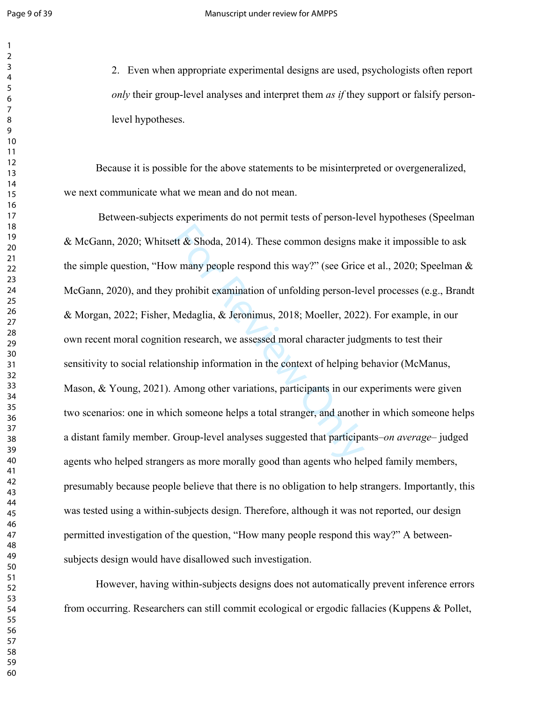2. Even when appropriate experimental designs are used, psychologists often report *only* their group-level analyses and interpret them *as if* they support or falsify personlevel hypotheses.

Because it is possible for the above statements to be misinterpreted or overgeneralized, we next communicate what we mean and do not mean.

exercit & Shoda, 2014). These common designs m<br>w many people respond this way?" (see Grice<br>prohibit examination of unfolding person-lev<br>Medaglia, & Jeronimus, 2018; Moeller, 2022<br>on research, we assessed moral character j Between-subjects experiments do not permit tests of person-level hypotheses (Speelman & McGann, 2020; Whitsett & Shoda, 2014). These common designs make it impossible to ask the simple question, "How many people respond this way?" (see Grice et al., 2020; Speelman & McGann, 2020), and they prohibit examination of unfolding person-level processes (e.g., Brandt & Morgan, 2022; Fisher, Medaglia, & Jeronimus, 2018; Moeller, 2022). For example, in our own recent moral cognition research, we assessed moral character judgments to test their sensitivity to social relationship information in the context of helping behavior (McManus, Mason, & Young, 2021). Among other variations, participants in our experiments were given two scenarios: one in which someone helps a total stranger, and another in which someone helps a distant family member. Group-level analyses suggested that participants–*on average*– judged agents who helped strangers as more morally good than agents who helped family members, presumably because people believe that there is no obligation to help strangers. Importantly, this was tested using a within-subjects design. Therefore, although it was not reported, our design permitted investigation of the question, "How many people respond this way?" A betweensubjects design would have disallowed such investigation.

However, having within-subjects designs does not automatically prevent inference errors from occurring. Researchers can still commit ecological or ergodic fallacies (Kuppens & Pollet,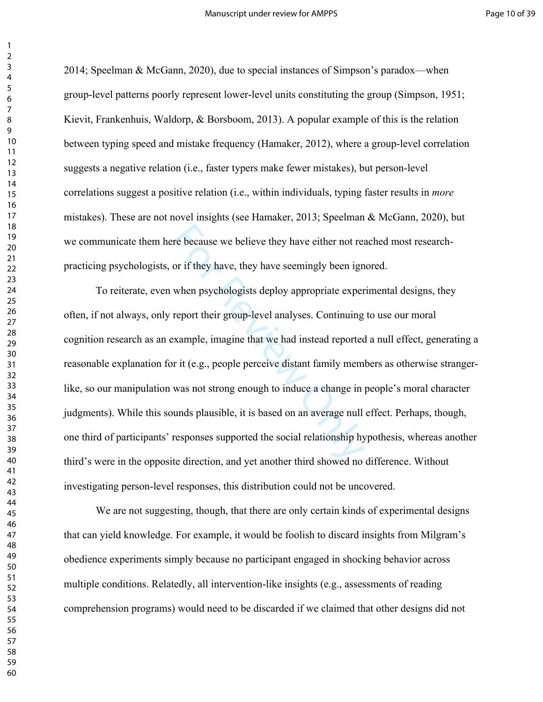2014; Speelman & McGann, 2020), due to special instances of Simpson's paradox—when group-level patterns poorly represent lower-level units constituting the group (Simpson, 1951; Kievit, Frankenhuis, Waldorp, & Borsboom, 2013). A popular example of this is the relation between typing speed and mistake frequency (Hamaker, 2012), where a group-level correlation suggests a negative relation (i.e., faster typers make fewer mistakes), but person-level correlations suggest a positive relation (i.e., within individuals, typing faster results in *more*  mistakes). These are not novel insights (see Hamaker, 2013; Speelman & McGann, 2020), but we communicate them here because we believe they have either not reached most researchpracticing psychologists, or if they have, they have seemingly been ignored.

re because we believe they have either not read or if they have, they have seemingly been ign<br>when psychologists deploy appropriate exper<br>report their group-level analyses. Continuing<br>xample, imagine that we had instead re To reiterate, even when psychologists deploy appropriate experimental designs, they often, if not always, only report their group-level analyses. Continuing to use our moral cognition research as an example, imagine that we had instead reported a null effect, generating a reasonable explanation for it (e.g., people perceive distant family members as otherwise strangerlike, so our manipulation was not strong enough to induce a change in people's moral character judgments). While this sounds plausible, it is based on an average null effect. Perhaps, though, one third of participants' responses supported the social relationship hypothesis, whereas another third's were in the opposite direction, and yet another third showed no difference. Without investigating person-level responses, this distribution could not be uncovered.

We are not suggesting, though, that there are only certain kinds of experimental designs that can yield knowledge. For example, it would be foolish to discard insights from Milgram's obedience experiments simply because no participant engaged in shocking behavior across multiple conditions. Relatedly, all intervention-like insights (e.g., assessments of reading comprehension programs) would need to be discarded if we claimed that other designs did not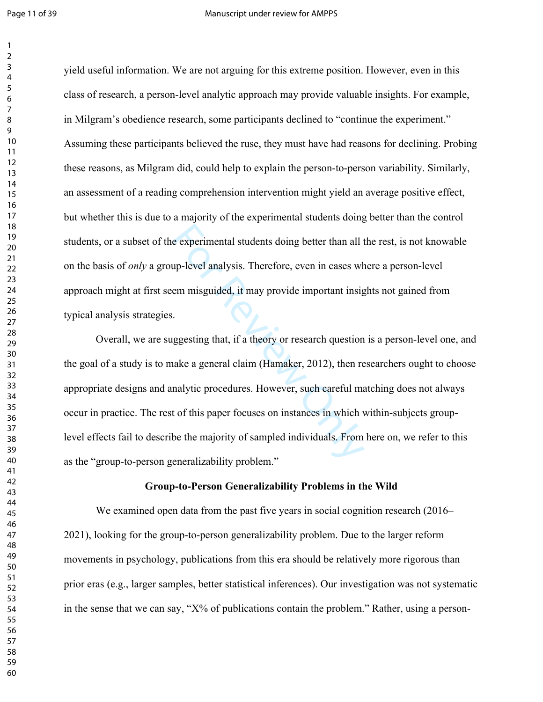$\mathbf{1}$ 

yield useful information. We are not arguing for this extreme position. However, even in this class of research, a person-level analytic approach may provide valuable insights. For example, in Milgram's obedience research, some participants declined to "continue the experiment." Assuming these participants believed the ruse, they must have had reasons for declining. Probing these reasons, as Milgram did, could help to explain the person-to-person variability. Similarly, an assessment of a reading comprehension intervention might yield an average positive effect, but whether this is due to a majority of the experimental students doing better than the control students, or a subset of the experimental students doing better than all the rest, is not knowable on the basis of *only* a group-level analysis. Therefore, even in cases where a person-level approach might at first seem misguided, it may provide important insights not gained from typical analysis strategies.

e experimental students doing better than all to<br>up-level analysis. Therefore, even in cases wh<br>em misguided, it may provide important insigned.<br>Experiment is a sensitive of that, if a theory or research question<br>ake a gen Overall, we are suggesting that, if a theory or research question is a person-level one, and the goal of a study is to make a general claim (Hamaker, 2012), then researchers ought to choose appropriate designs and analytic procedures. However, such careful matching does not always occur in practice. The rest of this paper focuses on instances in which within-subjects grouplevel effects fail to describe the majority of sampled individuals. From here on, we refer to this as the "group-to-person generalizability problem."

### **Group-to-Person Generalizability Problems in the Wild**

We examined open data from the past five years in social cognition research (2016– 2021), looking for the group-to-person generalizability problem. Due to the larger reform movements in psychology, publications from this era should be relatively more rigorous than prior eras (e.g., larger samples, better statistical inferences). Our investigation was not systematic in the sense that we can say, " $X\%$  of publications contain the problem." Rather, using a person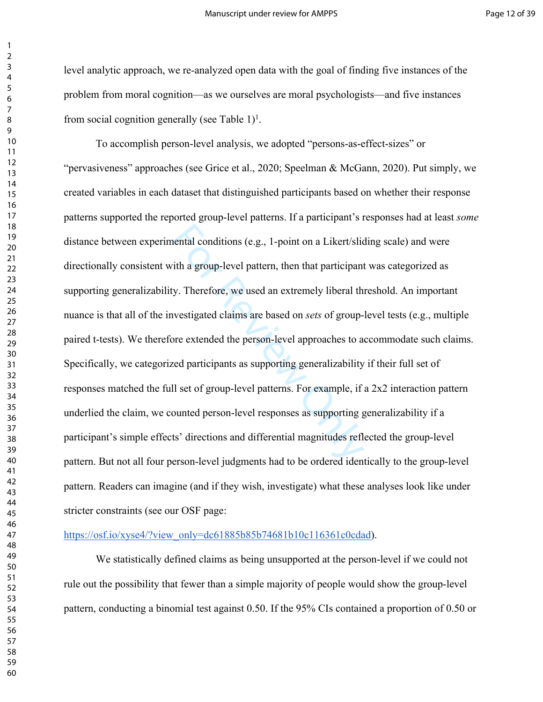level analytic approach, we re-analyzed open data with the goal of finding five instances of the problem from moral cognition—as we ourselves are moral psychologists—and five instances from social cognition generally (see Table )<sup>1</sup>.

nental conditions (e.g., 1-point on a Likert/slider ith a group-level pattern, then that participant<br>y. Therefore, we used an extremely liberal the<br>westigated claims are based on *sets* of group-<br>pre extended the person-le To accomplish person-level analysis, we adopted "persons-as-effect-sizes" or "pervasiveness" approaches (see Grice et al., 2020; Speelman & McGann, 2020). Put simply, we created variables in each dataset that distinguished participants based on whether their response patterns supported the reported group-level patterns. If a participant's responses had at least *some*  distance between experimental conditions (e.g., 1-point on a Likert/sliding scale) and were directionally consistent with a group-level pattern, then that participant was categorized as supporting generalizability. Therefore, we used an extremely liberal threshold. An important nuance is that all of the investigated claims are based on *sets* of group-level tests (e.g., multiple paired t-tests). We therefore extended the person-level approaches to accommodate such claims. Specifically, we categorized participants as supporting generalizability if their full set of responses matched the full set of group-level patterns. For example, if a 2x2 interaction pattern underlied the claim, we counted person-level responses as supporting generalizability if a participant's simple effects' directions and differential magnitudes reflected the group-level pattern. But not all four person-level judgments had to be ordered identically to the group-level pattern. Readers can imagine (and if they wish, investigate) what these analyses look like under stricter constraints (see our OSF page:

#### [https://osf.io/xyse4/?view\\_only=dc61885b85b74681b10c116361c0cdad](https://osf.io/xyse4/?view_only=dc61885b85b74681b10c116361c0cdad)).

We statistically defined claims as being unsupported at the person-level if we could not rule out the possibility that fewer than a simple majority of people would show the group-level pattern, conducting a binomial test against 0.50. If the 95% CIs contained a proportion of 0.50 or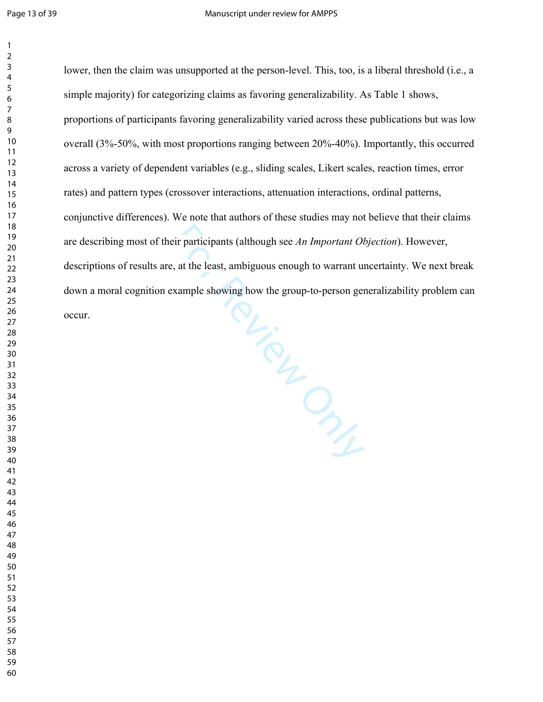showing Clays lower, then the claim was unsupported at the person-level. This, too, is a liberal threshold (i.e., a simple majority) for categorizing claims as favoring generalizability. As Table 1 shows, proportions of participants favoring generalizability varied across these publications but was low overall (3%-50%, with most proportions ranging between 20%-40%). Importantly, this occurred across a variety of dependent variables (e.g., sliding scales, Likert scales, reaction times, error rates) and pattern types (crossover interactions, attenuation interactions, ordinal patterns, conjunctive differences). We note that authors of these studies may not believe that their claims are describing most of their participants (although see *An Important Objection*). However, descriptions of results are, at the least, ambiguous enough to warrant uncertainty. We next break down a moral cognition example showing how the group-to-person generalizability problem can occur.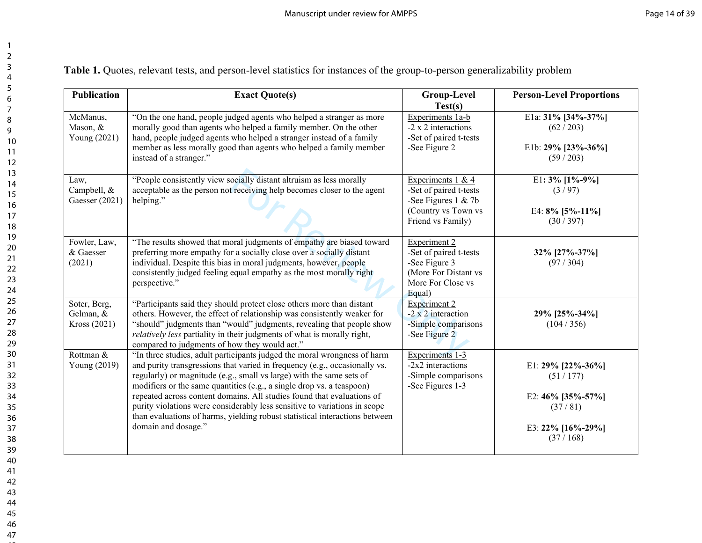**Table 1.** Quotes, relevant tests, and person-level statistics for instances of the group-to-person generalizability problem

| <b>Publication</b>                        | <b>Exact Quote(s)</b>                                                                                                                                                                                                                                                                                                                                                                                                                                                                                                                                                | <b>Group-Level</b><br>Test(s)                                                                                         | <b>Person-Level Proportions</b>                                                                   |
|-------------------------------------------|----------------------------------------------------------------------------------------------------------------------------------------------------------------------------------------------------------------------------------------------------------------------------------------------------------------------------------------------------------------------------------------------------------------------------------------------------------------------------------------------------------------------------------------------------------------------|-----------------------------------------------------------------------------------------------------------------------|---------------------------------------------------------------------------------------------------|
| McManus,<br>Mason, &<br>Young (2021)      | "On the one hand, people judged agents who helped a stranger as more<br>morally good than agents who helped a family member. On the other<br>hand, people judged agents who helped a stranger instead of a family<br>member as less morally good than agents who helped a family member<br>instead of a stranger."                                                                                                                                                                                                                                                   | Experiments 1a-b<br>-2 x 2 interactions<br>-Set of paired t-tests<br>-See Figure 2                                    | E1a: 31% [34%-37%]<br>(62/203)<br>E1b: $29\%$ [23%-36%]<br>(59/203)                               |
| Law,<br>Campbell, &<br>Gaesser (2021)     | "People consistently view socially distant altruism as less morally<br>acceptable as the person not receiving help becomes closer to the agent<br>helping."                                                                                                                                                                                                                                                                                                                                                                                                          | Experiments $1 & 4$<br>-Set of paired t-tests<br>-See Figures $1 & 7b$<br>(Country vs Town vs<br>Friend vs Family)    | E1: $3\%$ [1%-9%]<br>(3/97)<br>E4: $8\%$ [5%-11%]<br>(30/397)                                     |
| Fowler, Law,<br>& Gaesser<br>(2021)       | "The results showed that moral judgments of empathy are biased toward<br>preferring more empathy for a socially close over a socially distant<br>individual. Despite this bias in moral judgments, however, people<br>consistently judged feeling equal empathy as the most morally right<br>perspective."                                                                                                                                                                                                                                                           | <b>Experiment 2</b><br>-Set of paired t-tests<br>-See Figure 3<br>(More For Distant vs<br>More For Close vs<br>Equal) | 32% [27%-37%]<br>(97/304)                                                                         |
| Soter, Berg,<br>Gelman, &<br>Kross (2021) | "Participants said they should protect close others more than distant<br>others. However, the effect of relationship was consistently weaker for<br>"should" judgments than "would" judgments, revealing that people show<br>relatively less partiality in their judgments of what is morally right,<br>compared to judgments of how they would act."                                                                                                                                                                                                                | <b>Experiment 2</b><br>$-2 \times 2$ interaction<br>-Simple comparisons<br>-See Figure 2                              | 29% [25%-34%]<br>(104/356)                                                                        |
| Rottman &<br>Young (2019)                 | "In three studies, adult participants judged the moral wrongness of harm<br>and purity transgressions that varied in frequency (e.g., occasionally vs.<br>regularly) or magnitude (e.g., small vs large) with the same sets of<br>modifiers or the same quantities (e.g., a single drop vs. a teaspoon)<br>repeated across content domains. All studies found that evaluations of<br>purity violations were considerably less sensitive to variations in scope<br>than evaluations of harms, yielding robust statistical interactions between<br>domain and dosage." | Experiments 1-3<br>$-2x2$ interactions<br>-Simple comparisons<br>-See Figures 1-3                                     | E1: 29% [22%-36%]<br>(51/177)<br>E2: $46\%$ [35%-57%]<br>(37/81)<br>E3: 22% [16%-29%]<br>(37/168) |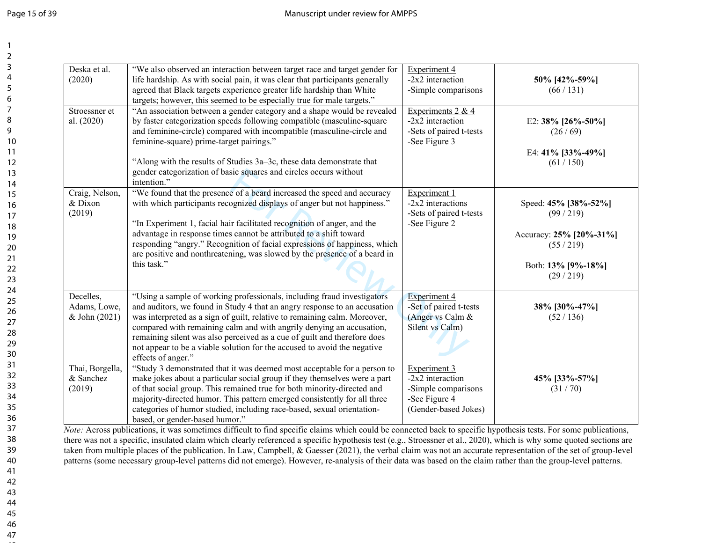| Deska et al.<br>(2020)                     | "We also observed an interaction between target race and target gender for<br>life hardship. As with social pain, it was clear that participants generally<br>agreed that Black targets experience greater life hardship than White<br>targets; however, this seemed to be especially true for male targets."                                                                                                                                                                           | Experiment 4<br>-2x2 interaction<br>-Simple comparisons                                             | 50% [42%-59%]<br>(66/131)                                                                                 |
|--------------------------------------------|-----------------------------------------------------------------------------------------------------------------------------------------------------------------------------------------------------------------------------------------------------------------------------------------------------------------------------------------------------------------------------------------------------------------------------------------------------------------------------------------|-----------------------------------------------------------------------------------------------------|-----------------------------------------------------------------------------------------------------------|
| Stroessner et<br>al. (2020)                | "An association between a gender category and a shape would be revealed<br>by faster categorization speeds following compatible (masculine-square<br>and feminine-circle) compared with incompatible (masculine-circle and<br>feminine-square) prime-target pairings."<br>"Along with the results of Studies 3a-3c, these data demonstrate that<br>gender categorization of basic squares and circles occurs without<br>intention."                                                     | Experiments $2 & 4$<br>$-2x2$ interaction<br>-Sets of paired t-tests<br>-See Figure 3               | E2: 38% [26%-50%]<br>(26/69)<br>E4: 41% [33%-49%]<br>(61/150)                                             |
| Craig, Nelson,<br>& Dixon<br>(2019)        | "We found that the presence of a beard increased the speed and accuracy<br>with which participants recognized displays of anger but not happiness."<br>"In Experiment 1, facial hair facilitated recognition of anger, and the<br>advantage in response times cannot be attributed to a shift toward<br>responding "angry." Recognition of facial expressions of happiness, which<br>are positive and nonthreatening, was slowed by the presence of a beard in<br>this task."           | Experiment 1<br>$-2x2$ interactions<br>-Sets of paired t-tests<br>-See Figure 2                     | Speed: 45% [38%-52%]<br>(99/219)<br>Accuracy: 25% [20%-31%]<br>(55/219)<br>Both: 13% [9%-18%]<br>(29/219) |
| Decelles.<br>Adams, Lowe,<br>& John (2021) | "Using a sample of working professionals, including fraud investigators<br>and auditors, we found in Study 4 that an angry response to an accusation<br>was interpreted as a sign of guilt, relative to remaining calm. Moreover,<br>compared with remaining calm and with angrily denying an accusation,<br>remaining silent was also perceived as a cue of guilt and therefore does<br>not appear to be a viable solution for the accused to avoid the negative<br>effects of anger." | <b>Experiment 4</b><br>-Set of paired t-tests<br>(Anger vs Calm &<br>Silent vs Calm)                | 38% [30%-47%]<br>(52/136)                                                                                 |
| Thai, Borgella,<br>& Sanchez<br>(2019)     | "Study 3 demonstrated that it was deemed most acceptable for a person to<br>make jokes about a particular social group if they themselves were a part<br>of that social group. This remained true for both minority-directed and<br>majority-directed humor. This pattern emerged consistently for all three<br>categories of humor studied, including race-based, sexual orientation-<br>based, or gender-based humor."                                                                | Experiment 3<br>$-2x^2$ interaction<br>-Simple comparisons<br>-See Figure 4<br>(Gender-based Jokes) | 45% [33%-57%]<br>(31/70)                                                                                  |

*Note:* Across publications, it was sometimes difficult to find specific claims which could be connected back to specific hypothesis tests. For some publications, there was not a specific, insulated claim which clearly referenced a specific hypothesis test (e.g., Stroessner et al., 2020), which is why some quoted sections are taken from multiple places of the publication. In Law, Campbell, & Gaesser (2021), the verbal claim was not an accurate representation of the set of group-level patterns (some necessary group-level patterns did not emerge). However, re-analysis of their data was based on the claim rather than the group-level patterns.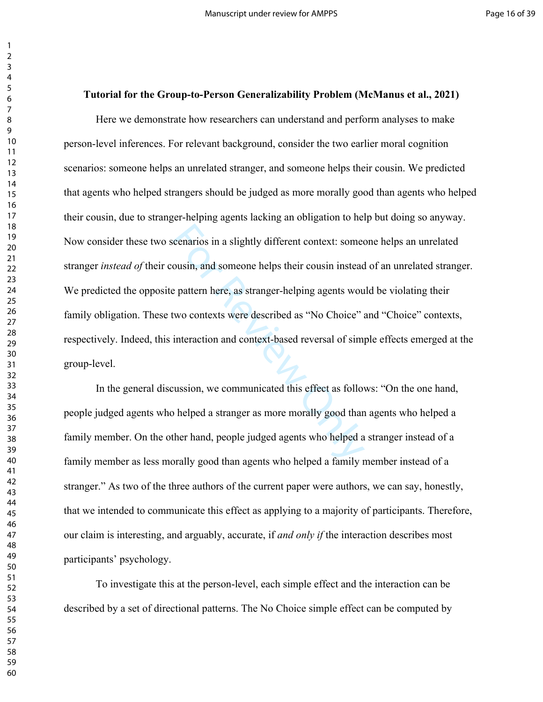#### **Tutorial for the Group-to-Person Generalizability Problem (McManus et al., 2021)**

cenarios in a slightly different context: some<br>
cousin, and someone helps their cousin instead<br>
e pattern here, as stranger-helping agents wou<br>
wo contexts were described as "No Choice"<br>
interaction and context-based rever Here we demonstrate how researchers can understand and perform analyses to make person-level inferences. For relevant background, consider the two earlier moral cognition scenarios: someone helps an unrelated stranger, and someone helps their cousin. We predicted that agents who helped strangers should be judged as more morally good than agents who helped their cousin, due to stranger-helping agents lacking an obligation to help but doing so anyway. Now consider these two scenarios in a slightly different context: someone helps an unrelated stranger *instead of* their cousin, and someone helps their cousin instead of an unrelated stranger. We predicted the opposite pattern here, as stranger-helping agents would be violating their family obligation. These two contexts were described as "No Choice" and "Choice" contexts, respectively. Indeed, this interaction and context-based reversal of simple effects emerged at the group-level.

In the general discussion, we communicated this effect as follows: "On the one hand, people judged agents who helped a stranger as more morally good than agents who helped a family member. On the other hand, people judged agents who helped a stranger instead of a family member as less morally good than agents who helped a family member instead of a stranger." As two of the three authors of the current paper were authors, we can say, honestly, that we intended to communicate this effect as applying to a majority of participants. Therefore, our claim is interesting, and arguably, accurate, if *and only if* the interaction describes most participants' psychology.

To investigate this at the person-level, each simple effect and the interaction can be described by a set of directional patterns. The No Choice simple effect can be computed by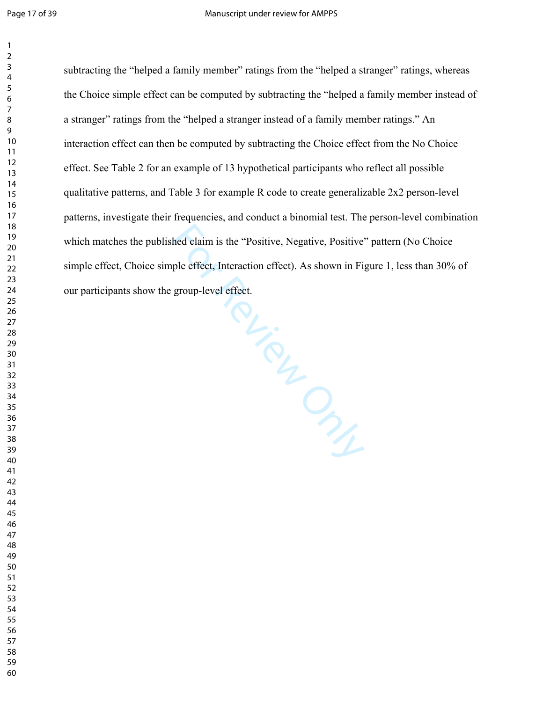$\mathbf{1}$ 

Hevere Clay Clay subtracting the "helped a family member" ratings from the "helped a stranger" ratings, whereas the Choice simple effect can be computed by subtracting the "helped a family member instead of a stranger" ratings from the "helped a stranger instead of a family member ratings." An interaction effect can then be computed by subtracting the Choice effect from the No Choice effect. See Table 2 for an example of 13 hypothetical participants who reflect all possible qualitative patterns, and Table 3 for example R code to create generalizable 2x2 person-level patterns, investigate their frequencies, and conduct a binomial test. The person-level combination which matches the published claim is the "Positive, Negative, Positive" pattern (No Choice simple effect, Choice simple effect, Interaction effect). As shown in Figure 1, less than 30% of our participants show the group-level effect.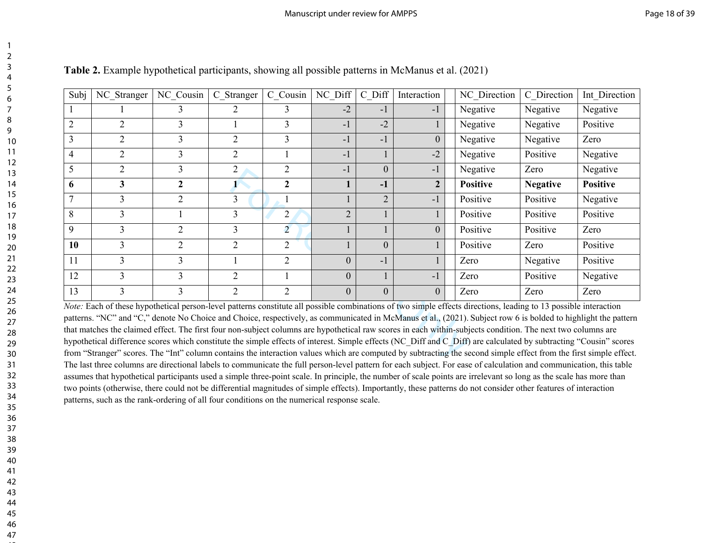| Subj                                                                                                                                                                                                                                                                                                                                   | NC Stranger             | NC Cousin                   | C Stranger                  | C Cousin       | NC Diff        | C Diff         | Interaction    | NC Direction    | C Direction     | Int Direction   |
|----------------------------------------------------------------------------------------------------------------------------------------------------------------------------------------------------------------------------------------------------------------------------------------------------------------------------------------|-------------------------|-----------------------------|-----------------------------|----------------|----------------|----------------|----------------|-----------------|-----------------|-----------------|
|                                                                                                                                                                                                                                                                                                                                        |                         |                             | $\mathcal{D}_{\cdot}$       | 3              | $-2$           | $-1$           | $-1$           | Negative        | Negative        | Negative        |
| $\overline{2}$                                                                                                                                                                                                                                                                                                                         | 2                       | 3                           |                             | 3              | $-1$           | $-2$           |                | Negative        | Negative        | Positive        |
| 3                                                                                                                                                                                                                                                                                                                                      | $\overline{2}$          | 3                           | 2                           | 3              | $-1$           | $-1$           | $\overline{0}$ | Negative        | Negative        | Zero            |
| $\overline{4}$                                                                                                                                                                                                                                                                                                                         | $\overline{2}$          | 3                           | $\overline{2}$              |                | $-1$           |                | $-2$           | Negative        | Positive        | Negative        |
| 5                                                                                                                                                                                                                                                                                                                                      | $\overline{2}$          | 3                           | $\overline{2}$              | 2              | $-1$           | $\overline{0}$ | $-1$           | Negative        | Zero            | Negative        |
| 6                                                                                                                                                                                                                                                                                                                                      | $\overline{\mathbf{3}}$ | $\mathbf{2}$                | 1                           | $\mathbf{2}$   |                | $-1$           | $\overline{2}$ | <b>Positive</b> | <b>Negative</b> | <b>Positive</b> |
| 7                                                                                                                                                                                                                                                                                                                                      | 3                       | 2                           | 3                           |                |                | $\overline{2}$ | $-1$           | Positive        | Positive        | Negative        |
| 8                                                                                                                                                                                                                                                                                                                                      | 3                       |                             | 3                           | 2              | $\overline{2}$ |                |                | Positive        | Positive        | Positive        |
| 9                                                                                                                                                                                                                                                                                                                                      | 3                       | $\overline{2}$              | 3                           | $\overline{2}$ |                |                | $\overline{0}$ | Positive        | Positive        | Zero            |
| 10                                                                                                                                                                                                                                                                                                                                     | 3                       | $\mathcal{D}_{\mathcal{L}}$ | $\mathcal{D}_{\mathcal{L}}$ | $\overline{2}$ |                | $\overline{0}$ |                | Positive        | Zero            | Positive        |
| 11                                                                                                                                                                                                                                                                                                                                     | $\overline{3}$          | 3                           |                             | $\overline{2}$ | $\theta$       | $-1$           |                | Zero            | Negative        | Positive        |
| 12                                                                                                                                                                                                                                                                                                                                     | 3                       | 3                           | $\mathcal{D}_{\mathcal{L}}$ |                | $\overline{0}$ |                | $-1$           | Zero            | Positive        | Negative        |
| 13                                                                                                                                                                                                                                                                                                                                     | 3                       | 3                           | $\overline{2}$              | $\overline{2}$ | $\Omega$       | $\overline{0}$ | $\theta$       | Zero            | Zero            | Zero            |
| Note: Each of these hypothetical person-level patterns constitute all possible combinations of two simple effects directions, leading to 13 possible interaction<br>patterns. "NC" and "C," denote No Choice and Choice, respectively, as communicated in McManus et al., (2021). Subject row 6 is bolded to highlight the pattern     |                         |                             |                             |                |                |                |                |                 |                 |                 |
| that matches the claimed effect. The first four non-subject columns are hypothetical raw scores in each within-subjects condition. The next two columns are                                                                                                                                                                            |                         |                             |                             |                |                |                |                |                 |                 |                 |
| hypothetical difference scores which constitute the simple effects of interest. Simple effects (NC Diff and C Diff) are calculated by subtracting "Cousin" scores<br>from "Stranger" scores. The "Int" column contains the interaction values which are computed by subtracting the second simple effect from the first simple effect. |                         |                             |                             |                |                |                |                |                 |                 |                 |
| The last three columns are directional labels to communicate the full person-level pattern for each subject. For ease of calculation and communication, this table                                                                                                                                                                     |                         |                             |                             |                |                |                |                |                 |                 |                 |

**Table 2.** Example hypothetical participants, showing all possible patterns in McManus et al. (2021)

*Note:* Each of these hypothetical person-level patterns constitute all possible combinations of two simple effects directions, leading to 13 possible interaction patterns. "NC" and "C," denote No Choice and Choice, respectively, as communicated in McManus et al., (2021). Subject row 6 is bolded to highlight the pattern that matches the claimed effect. The first four non-subject columns are hypothetical raw scores in each within-subjects condition. The next two columns are hypothetical difference scores which constitute the simple effects of interest. Simple effects (NC\_Diff and C\_Diff) are calculated by subtracting "Cousin" scores from "Stranger" scores. The "Int" column contains the interaction values which are computed by subtracting the second simple effect from the first simple effect. The last three columns are directional labels to communicate the full person-level pattern for each subject. For ease of calculation and communication, this table assumes that hypothetical participants used a simple three-point scale. In principle, the number of scale points are irrelevant so long as the scale has more than two points (otherwise, there could not be differential magnitudes of simple effects). Importantly, these patterns do not consider other features of interaction patterns, such as the rank-ordering of all four conditions on the numerical response scale.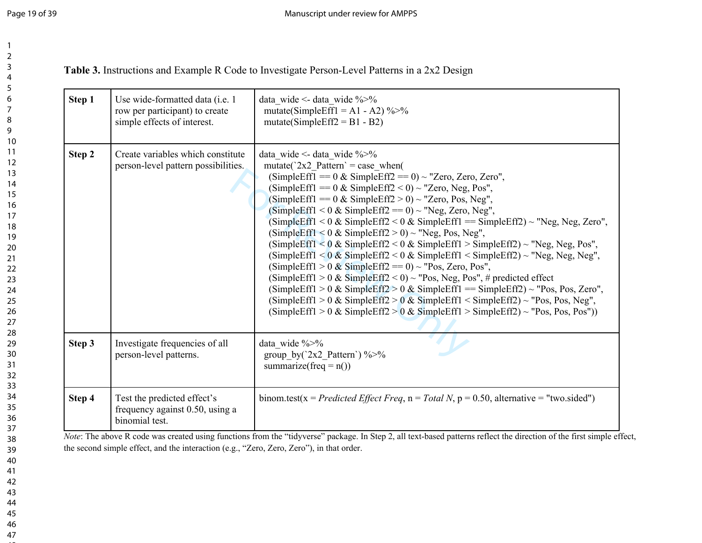**Table 3.** Instructions and Example R Code to Investigate Person-Level Patterns in a 2x2 Design

| Step 1 | Use wide-formatted data ( <i>i.e.</i> 1<br>row per participant) to create<br>simple effects of interest. | data wide <- data wide $\frac{6}{9}$<br>mutate(SimpleEff1 = A1 - A2) $\frac{9}{2}$ %<br>$mutate(SimpleEff2 = B1 - B2)$                                                                                                                                                                                                                                                                                                                                                                                                                                                                                                                                                                                                                                                                                                                                                                                                                                                                                                                                                                |
|--------|----------------------------------------------------------------------------------------------------------|---------------------------------------------------------------------------------------------------------------------------------------------------------------------------------------------------------------------------------------------------------------------------------------------------------------------------------------------------------------------------------------------------------------------------------------------------------------------------------------------------------------------------------------------------------------------------------------------------------------------------------------------------------------------------------------------------------------------------------------------------------------------------------------------------------------------------------------------------------------------------------------------------------------------------------------------------------------------------------------------------------------------------------------------------------------------------------------|
| Step 2 | Create variables which constitute<br>person-level pattern possibilities.                                 | data wide <- data wide $\frac{6}{9}$<br>mutate( $2x2$ Pattern $\degree$ = case when(<br>(SimpleEff1 == $0 \&$ SimpleEff2 == $0$ ) ~ "Zero, Zero, Zero",<br>(SimpleEff1 == $0 \&$ SimpleEff2 < 0) ~ "Zero, Neg, Pos",<br>(SimpleEff1 == $0 \&$ SimpleEff2 > 0) ~ "Zero, Pos, Neg",<br>(SimpleEff1 < $0 \&$ SimpleEff2 = $0$ ) ~ "Neg, Zero, Neg",<br>(SimpleEff1 < 0 & SimpleEff2 < 0 & SimpleEff1 = SimpleEff2) ~ "Neg, Neg, Zero",<br>(SimpleEff1 < $0 \&$ SimpleEff2 > 0) ~ "Neg, Pos, Neg",<br>(SimpleEff1 < $0 \&$ SimpleEff2 < $0 \&$ SimpleEff1 > SimpleEff2) ~ "Neg, Neg, Pos",<br>(SimpleEff1 < $0 \&$ SimpleEff2 < $0 \&$ SimpleEff1 < SimpleEff2) ~ "Neg, Neg, Neg",<br>(SimpleEff1 > 0 & SimpleEff2 == 0) ~ "Pos, Zero, Pos",<br>(SimpleEff1 > 0 & SimpleEff2 < 0) ~ "Pos, Neg, Pos", # predicted effect<br>(SimpleEff1 > 0 & SimpleEff2 > 0 & SimpleEff1 = $\text{SimpleEff2}$ ) ~ "Pos, Pos, Zero",<br>(SimpleEff1 > 0 & SimpleEff2 > 0 & SimpleEff1 < SimpleEff2) ~ "Pos, Pos, Neg",<br>(SimpleEff1 > 0 & SimpleEff2 > 0 & SimpleEff1 > SimpleEff2) ~ "Pos, Pos, Pos")) |
| Step 3 | Investigate frequencies of all<br>person-level patterns.                                                 | data wide %>%<br>group by $(2x2$ Pattern') %>%<br>summarize(freq = $n()$ )                                                                                                                                                                                                                                                                                                                                                                                                                                                                                                                                                                                                                                                                                                                                                                                                                                                                                                                                                                                                            |
| Step 4 | Test the predicted effect's<br>frequency against 0.50, using a<br>binomial test.                         | binom.test(x = Predicted Effect Freq, n = Total N, p = 0.50, alternative = "two.sided")                                                                                                                                                                                                                                                                                                                                                                                                                                                                                                                                                                                                                                                                                                                                                                                                                                                                                                                                                                                               |

*Note*: The above R code was created using functions from the "tidyverse" package. In Step 2, all text-based patterns reflect the direction of the first simple effect, the second simple effect, and the interaction (e.g., "Zero, Zero, Zero"), in that order.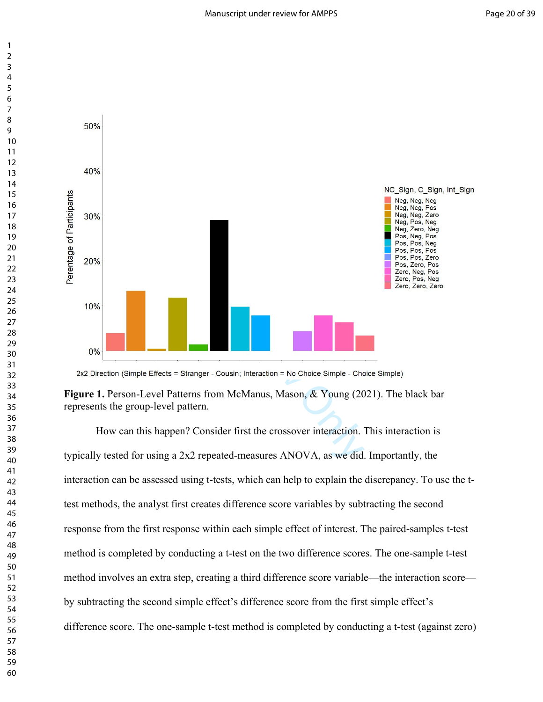

How can this happen? Consider first the crossover interaction. This interaction is typically tested for using a 2x2 repeated-measures ANOVA, as we did. Importantly, the interaction can be assessed using t-tests, which can help to explain the discrepancy. To use the ttest methods, the analyst first creates difference score variables by subtracting the second response from the first response within each simple effect of interest. The paired-samples t-test method is completed by conducting a t-test on the two difference scores. The one-sample t-test method involves an extra step, creating a third difference score variable—the interaction score by subtracting the second simple effect's difference score from the first simple effect's difference score. The one-sample t-test method is completed by conducting a t-test (against zero)

**Figure 1.** Person-Level Patterns from McManus, Mason, & Young (2021). The black bar represents the group-level pattern.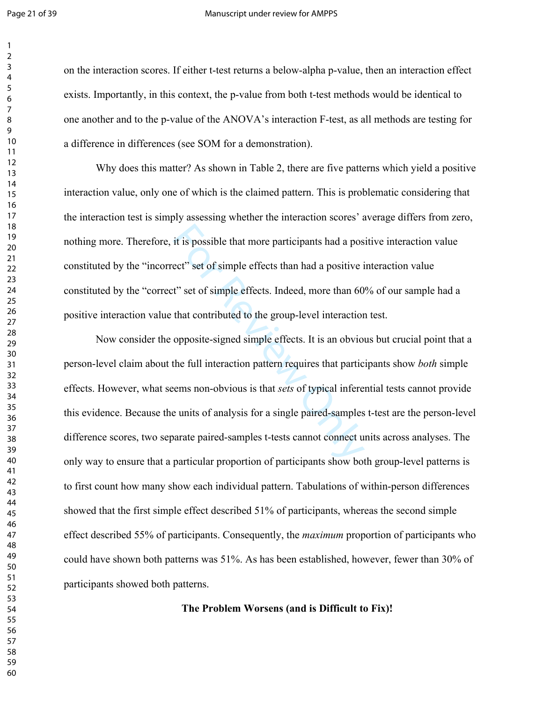#### Page 21 of 39 Manuscript under review for AMPPS

on the interaction scores. If either t-test returns a below-alpha p-value, then an interaction effect exists. Importantly, in this context, the p-value from both t-test methods would be identical to one another and to the p-value of the ANOVA's interaction F-test, as all methods are testing for a difference in differences (see SOM for a demonstration).

Why does this matter? As shown in Table 2, there are five patterns which yield a positive interaction value, only one of which is the claimed pattern. This is problematic considering that the interaction test is simply assessing whether the interaction scores' average differs from zero, nothing more. Therefore, it is possible that more participants had a positive interaction value constituted by the "incorrect" set of simple effects than had a positive interaction value constituted by the "correct" set of simple effects. Indeed, more than 60% of our sample had a positive interaction value that contributed to the group-level interaction test.

it is possible that more participants had a pose ect" set of simple effects than had a positive i<br>t" set of simple effects. Indeed, more than 60<br>that contributed to the group-level interaction<br>opposite-signed simple effect Now consider the opposite-signed simple effects. It is an obvious but crucial point that a person-level claim about the full interaction pattern requires that participants show *both* simple effects. However, what seems non-obvious is that *sets* of typical inferential tests cannot provide this evidence. Because the units of analysis for a single paired-samples t-test are the person-level difference scores, two separate paired-samples t-tests cannot connect units across analyses. The only way to ensure that a particular proportion of participants show both group-level patterns is to first count how many show each individual pattern. Tabulations of within-person differences showed that the first simple effect described 51% of participants, whereas the second simple effect described 55% of participants. Consequently, the *maximum* proportion of participants who could have shown both patterns was 51%. As has been established, however, fewer than 30% of participants showed both patterns.

**The Problem Worsens (and is Difficult to Fix)!**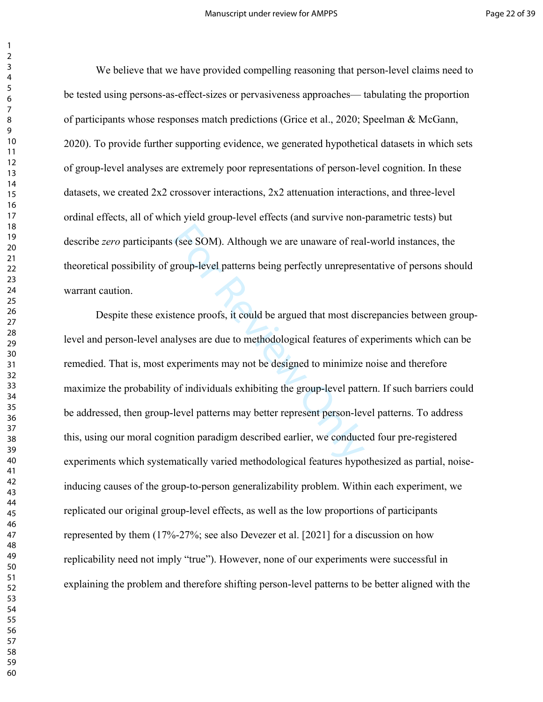We believe that we have provided compelling reasoning that person-level claims need to be tested using persons-as-effect-sizes or pervasiveness approaches— tabulating the proportion of participants whose responses match predictions (Grice et al., 2020; Speelman & McGann, 2020). To provide further supporting evidence, we generated hypothetical datasets in which sets of group-level analyses are extremely poor representations of person-level cognition. In these datasets, we created 2x2 crossover interactions, 2x2 attenuation interactions, and three-level ordinal effects, all of which yield group-level effects (and survive non-parametric tests) but describe *zero* participants (see SOM). Although we are unaware of real-world instances, the theoretical possibility of group-level patterns being perfectly unrepresentative of persons should warrant caution.

(see SOM). Although we are unaware of real<br>group-level patterns being perfectly unreprese<br>tence proofs, it could be argued that most dise<br>alyses are due to methodological features of e<br>xperiments may not be designed to min Despite these existence proofs, it could be argued that most discrepancies between grouplevel and person-level analyses are due to methodological features of experiments which can be remedied. That is, most experiments may not be designed to minimize noise and therefore maximize the probability of individuals exhibiting the group-level pattern. If such barriers could be addressed, then group-level patterns may better represent person-level patterns. To address this, using our moral cognition paradigm described earlier, we conducted four pre-registered experiments which systematically varied methodological features hypothesized as partial, noiseinducing causes of the group-to-person generalizability problem. Within each experiment, we replicated our original group-level effects, as well as the low proportions of participants represented by them (17%-27%; see also Devezer et al. [2021] for a discussion on how replicability need not imply "true"). However, none of our experiments were successful in explaining the problem and therefore shifting person-level patterns to be better aligned with the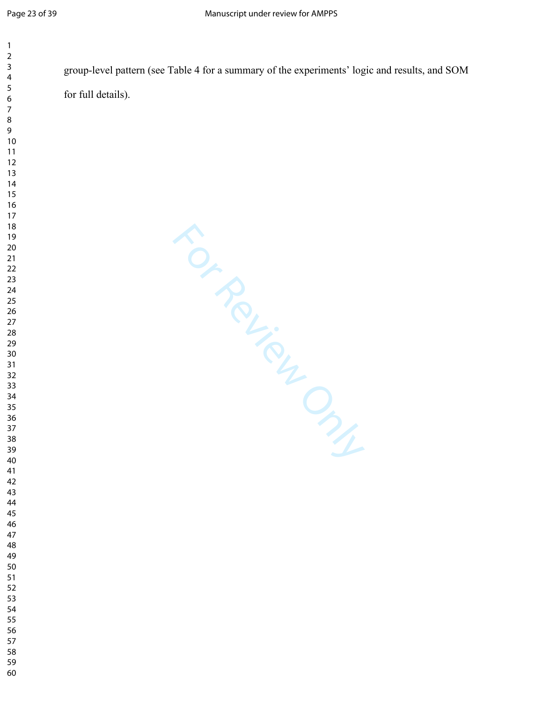| $\mathbf{1}$        |                                                                                               |
|---------------------|-----------------------------------------------------------------------------------------------|
| 2<br>3              | group-level pattern (see Table 4 for a summary of the experiments' logic and results, and SOM |
| 4<br>5              |                                                                                               |
| 6<br>$\overline{7}$ | for full details).                                                                            |
| 8                   |                                                                                               |
| 9<br>$10$           |                                                                                               |
| $11$                |                                                                                               |
| 12<br>13            |                                                                                               |
| 14<br>15            |                                                                                               |
| 16                  |                                                                                               |
| 17<br>18            |                                                                                               |
| 19                  |                                                                                               |
| 20<br>$21$          |                                                                                               |
| 22                  |                                                                                               |
| 23<br>24            |                                                                                               |
| 25<br>26            |                                                                                               |
| $27\,$              |                                                                                               |
| 28<br>29            |                                                                                               |
| 30<br>31            | FOR ROUGH                                                                                     |
| 32                  |                                                                                               |
| 33<br>34            |                                                                                               |
| 35                  |                                                                                               |
| 36<br>37            |                                                                                               |
| 38<br>39            |                                                                                               |
| 40                  |                                                                                               |
| 41<br>42            |                                                                                               |
| 43<br>44            |                                                                                               |
| 45                  |                                                                                               |
| 46<br>47            |                                                                                               |
| 48                  |                                                                                               |
| 49<br>50            |                                                                                               |
| 51<br>52            |                                                                                               |
| 53                  |                                                                                               |
| 54<br>55            |                                                                                               |
| 56                  |                                                                                               |
| 57<br>58            |                                                                                               |
| 59<br>60            |                                                                                               |
|                     |                                                                                               |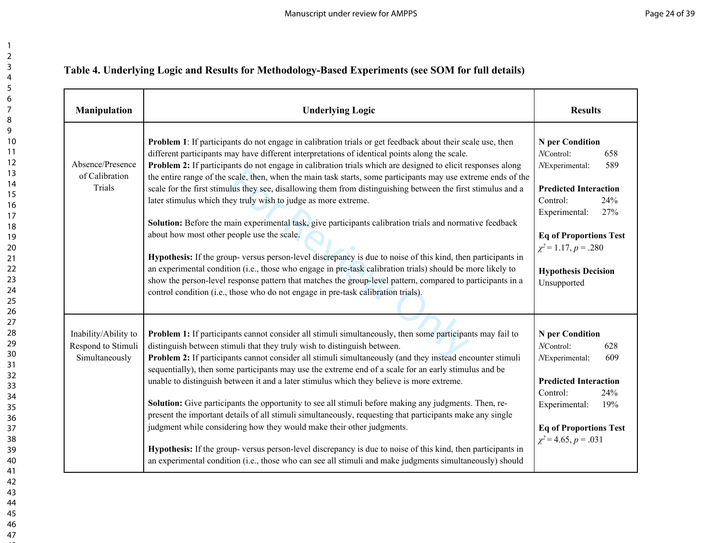## **Table 4. Underlying Logic and Results for Methodology-Based Experiments (see SOM for full details)**

| Manipulation                                                 | <b>Underlying Logic</b>                                                                                                                                                                                                                                                                                                                                                                                                                                                                                                                                                                                                                                                                                                                                                                                                                                                                                                                                                                                                                                                                                                                                                                                                                  | <b>Results</b>                                                                                                                                                                                                                                     |
|--------------------------------------------------------------|------------------------------------------------------------------------------------------------------------------------------------------------------------------------------------------------------------------------------------------------------------------------------------------------------------------------------------------------------------------------------------------------------------------------------------------------------------------------------------------------------------------------------------------------------------------------------------------------------------------------------------------------------------------------------------------------------------------------------------------------------------------------------------------------------------------------------------------------------------------------------------------------------------------------------------------------------------------------------------------------------------------------------------------------------------------------------------------------------------------------------------------------------------------------------------------------------------------------------------------|----------------------------------------------------------------------------------------------------------------------------------------------------------------------------------------------------------------------------------------------------|
| Absence/Presence<br>of Calibration<br>Trials                 | <b>Problem 1</b> : If participants do not engage in calibration trials or get feedback about their scale use, then<br>different participants may have different interpretations of identical points along the scale.<br><b>Problem 2:</b> If participants do not engage in calibration trials which are designed to elicit responses along<br>the entire range of the scale, then, when the main task starts, some participants may use extreme ends of the<br>scale for the first stimulus they see, disallowing them from distinguishing between the first stimulus and a<br>later stimulus which they truly wish to judge as more extreme.<br>Solution: Before the main experimental task, give participants calibration trials and normative feedback<br>about how most other people use the scale.<br>Hypothesis: If the group- versus person-level discrepancy is due to noise of this kind, then participants in<br>an experimental condition (i.e., those who engage in pre-task calibration trials) should be more likely to<br>show the person-level response pattern that matches the group-level pattern, compared to participants in a<br>control condition (i.e., those who do not engage in pre-task calibration trials). | N per Condition<br>NControl:<br>658<br>NExperimental:<br>589<br><b>Predicted Interaction</b><br>Control:<br>24%<br>Experimental:<br>27%<br><b>Eq of Proportions Test</b><br>$\chi^2$ = 1.17, p = .280<br><b>Hypothesis Decision</b><br>Unsupported |
| Inability/Ability to<br>Respond to Stimuli<br>Simultaneously | <b>Problem 1:</b> If participants cannot consider all stimuli simultaneously, then some participants may fail to<br>distinguish between stimuli that they truly wish to distinguish between.<br>Problem 2: If participants cannot consider all stimuli simultaneously (and they instead encounter stimuli<br>sequentially), then some participants may use the extreme end of a scale for an early stimulus and be<br>unable to distinguish between it and a later stimulus which they believe is more extreme.<br><b>Solution:</b> Give participants the opportunity to see all stimuli before making any judgments. Then, re-<br>present the important details of all stimuli simultaneously, requesting that participants make any single<br>judgment while considering how they would make their other judgments.<br>Hypothesis: If the group- versus person-level discrepancy is due to noise of this kind, then participants in<br>an experimental condition (i.e., those who can see all stimuli and make judgments simultaneously) should                                                                                                                                                                                        | N per Condition<br>NControl:<br>628<br>NExperimental:<br>609<br><b>Predicted Interaction</b><br>Control:<br>24%<br>Experimental:<br>19%<br><b>Eq of Proportions Test</b><br>$\chi^2$ = 4.65, p = .031                                              |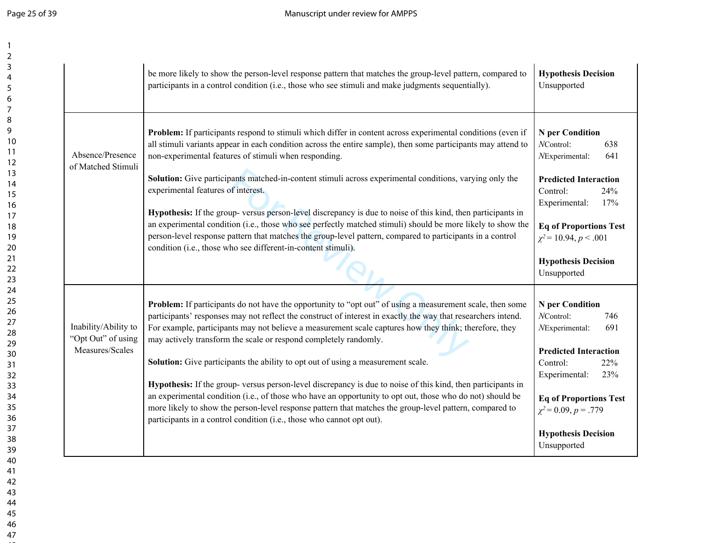|                                                               | be more likely to show the person-level response pattern that matches the group-level pattern, compared to<br>participants in a control condition (i.e., those who see stimuli and make judgments sequentially).                                                                                                                                                                                                                                                                                                                                                                                                                                                                                                                                                                                                                                                                                                     | <b>Hypothesis Decision</b><br>Unsupported                                                                                                                                                                                                                  |
|---------------------------------------------------------------|----------------------------------------------------------------------------------------------------------------------------------------------------------------------------------------------------------------------------------------------------------------------------------------------------------------------------------------------------------------------------------------------------------------------------------------------------------------------------------------------------------------------------------------------------------------------------------------------------------------------------------------------------------------------------------------------------------------------------------------------------------------------------------------------------------------------------------------------------------------------------------------------------------------------|------------------------------------------------------------------------------------------------------------------------------------------------------------------------------------------------------------------------------------------------------------|
| Absence/Presence<br>of Matched Stimuli                        | Problem: If participants respond to stimuli which differ in content across experimental conditions (even if<br>all stimuli variants appear in each condition across the entire sample), then some participants may attend to<br>non-experimental features of stimuli when responding.<br>Solution: Give participants matched-in-content stimuli across experimental conditions, varying only the<br>experimental features of interest.<br>Hypothesis: If the group-versus person-level discrepancy is due to noise of this kind, then participants in<br>an experimental condition (i.e., those who see perfectly matched stimuli) should be more likely to show the<br>person-level response pattern that matches the group-level pattern, compared to participants in a control<br>condition (i.e., those who see different-in-content stimuli).                                                                   | <b>N</b> per Condition<br>NControl:<br>638<br>NExperimental:<br>641<br><b>Predicted Interaction</b><br>Control:<br>24%<br>Experimental:<br>17%<br><b>Eq of Proportions Test</b><br>$\chi^2$ = 10.94, p < .001<br><b>Hypothesis Decision</b><br>Unsupported |
| Inability/Ability to<br>"Opt Out" of using<br>Measures/Scales | <b>Problem:</b> If participants do not have the opportunity to "opt out" of using a measurement scale, then some<br>participants' responses may not reflect the construct of interest in exactly the way that researchers intend.<br>For example, participants may not believe a measurement scale captures how they think; therefore, they<br>may actively transform the scale or respond completely randomly.<br>Solution: Give participants the ability to opt out of using a measurement scale.<br>Hypothesis: If the group- versus person-level discrepancy is due to noise of this kind, then participants in<br>an experimental condition (i.e., of those who have an opportunity to opt out, those who do not) should be<br>more likely to show the person-level response pattern that matches the group-level pattern, compared to<br>participants in a control condition (i.e., those who cannot opt out). | N per Condition<br>NControl:<br>746<br>NExperimental:<br>691<br><b>Predicted Interaction</b><br>Control:<br>22%<br>Experimental:<br>23%<br><b>Eq of Proportions Test</b><br>$\chi^2$ = 0.09, p = .779<br><b>Hypothesis Decision</b><br>Unsupported         |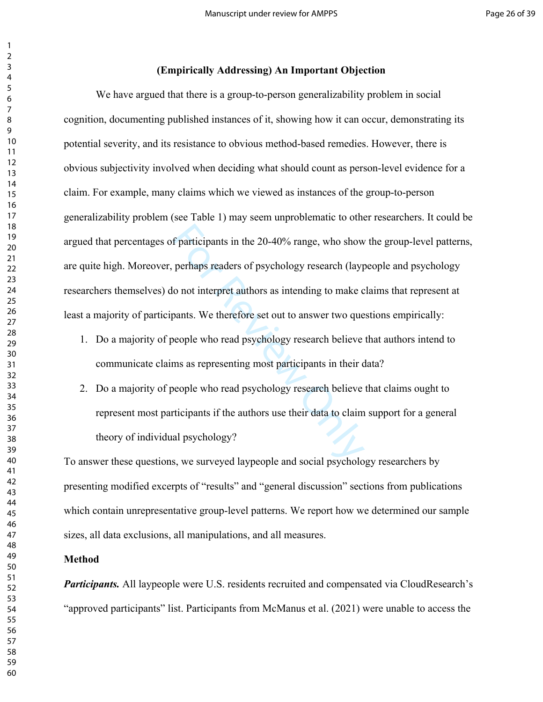### **(Empirically Addressing) An Important Objection**

f participants in the 20-40% range, who show<br>perhaps readers of psychology research (layp<br>o not interpret authors as intending to make c<br>pants. We therefore set out to answer two que<br>eeople who read psychology research bel We have argued that there is a group-to-person generalizability problem in social cognition, documenting published instances of it, showing how it can occur, demonstrating its potential severity, and its resistance to obvious method-based remedies. However, there is obvious subjectivity involved when deciding what should count as person-level evidence for a claim. For example, many claims which we viewed as instances of the group-to-person generalizability problem (see Table 1) may seem unproblematic to other researchers. It could be argued that percentages of participants in the 20-40% range, who show the group-level patterns, are quite high. Moreover, perhaps readers of psychology research (laypeople and psychology researchers themselves) do not interpret authors as intending to make claims that represent at least a majority of participants. We therefore set out to answer two questions empirically:

- 1. Do a majority of people who read psychology research believe that authors intend to communicate claims as representing most participants in their data?
- 2. Do a majority of people who read psychology research believe that claims ought to represent most participants if the authors use their data to claim support for a general theory of individual psychology?

To answer these questions, we surveyed laypeople and social psychology researchers by presenting modified excerpts of "results" and "general discussion" sections from publications which contain unrepresentative group-level patterns. We report how we determined our sample sizes, all data exclusions, all manipulations, and all measures.

#### **Method**

*Participants.* All laypeople were U.S. residents recruited and compensated via CloudResearch's "approved participants" list. Participants from McManus et al. (2021) were unable to access the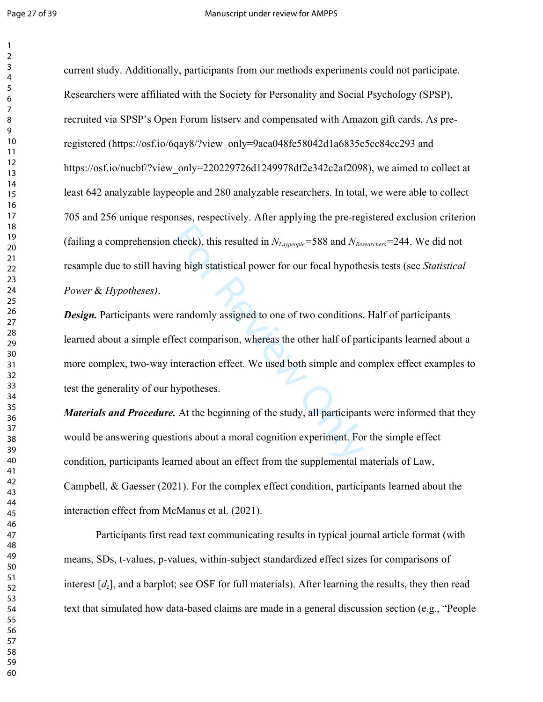$\mathbf{1}$ 

current study. Additionally, participants from our methods experiments could not participate. Researchers were affiliated with the Society for Personality and Social Psychology (SPSP), recruited via SPSP's Open Forum listserv and compensated with Amazon gift cards. As preregistered (https://osf.io/6qay8/?view\_only=9aca048fe58042d1a6835c5cc84cc293 and https://osf.io/nucbf/?view\_only=220229726d1249978df2e342c2af2098), we aimed to collect at least 642 analyzable laypeople and 280 analyzable researchers. In total, we were able to collect 705 and 256 unique responses, respectively. After applying the pre-registered exclusion criterion (failing a comprehension check), this resulted in  $N_{\text{Laypeople}} = 588$  and  $N_{\text{Researchers}} = 244$ . We did not resample due to still having high statistical power for our focal hypothesis tests (see *Statistical Power* & *Hypotheses)* .

check), this resulted in  $N_{Lappeople}$ =588 and  $N_{Res}$ <br>ng high statistical power for our focal hypotherms and<br>approach and the comparison, whereas the other half of particular<br>netraction effect. We used both simple and comportn *Design.* Participants were randomly assigned to one of two conditions. Half of participants learned about a simple effect comparison, whereas the other half of participants learned about a more complex, two-way interaction effect. We used both simple and complex effect examples to test the generality of our hypotheses.

*Materials and Procedure.* At the beginning of the study, all participants were informed that they would be answering questions about a moral cognition experiment. For the simple effect condition, participants learned about an effect from the supplemental materials of Law, Campbell, & Gaesser (2021). For the complex effect condition, participants learned about the interaction effect from McManus et al. (2021).

Participants first read text communicating results in typical journal article format (with means, SDs, t-values, p-values, within-subject standardized effect sizes for comparisons of interest [ *dz*], and a barplot; see OSF for full materials). After learning the results, they then read text that simulated how data-based claims are made in a general discussion section (e.g., "People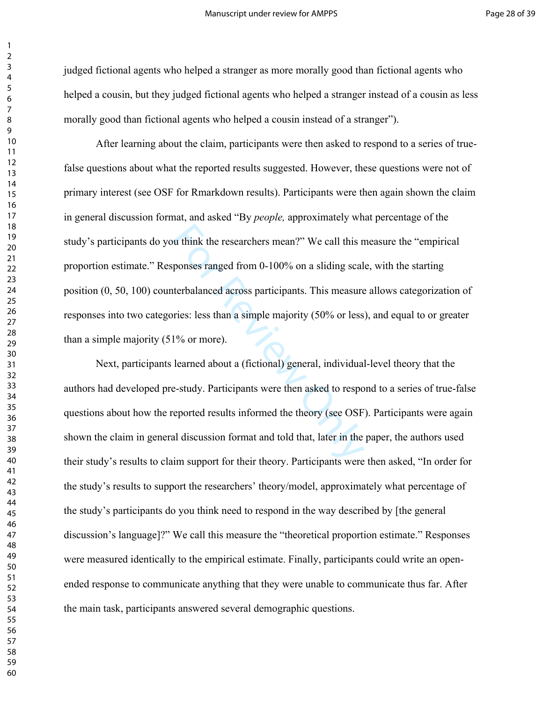judged fictional agents who helped a stranger as more morally good than fictional agents who helped a cousin, but they judged fictional agents who helped a stranger instead of a cousin as less morally good than fictional agents who helped a cousin instead of a stranger").

u think the researchers mean?" We call this n<br>ponses ranged from 0-100% on a sliding scal<br>terbalanced across participants. This measure<br>ries: less than a simple majority (50% or less<br>1% or more).<br>learned about a (fictional After learning about the claim, participants were then asked to respond to a series of truefalse questions about what the reported results suggested. However, these questions were not of primary interest (see OSF for Rmarkdown results). Participants were then again shown the claim in general discussion format, and asked "By *people,* approximately what percentage of the study's participants do you think the researchers mean?" We call this measure the "empirical proportion estimate." Responses ranged from 0-100% on a sliding scale, with the starting position (0, 50, 100) counterbalanced across participants. This measure allows categorization of responses into two categories: less than a simple majority (50% or less), and equal to or greater than a simple majority (51% or more).

Next, participants learned about a (fictional) general, individual-level theory that the authors had developed pre-study. Participants were then asked to respond to a series of true-false questions about how the reported results informed the theory (see OSF). Participants were again shown the claim in general discussion format and told that, later in the paper, the authors used their study's results to claim support for their theory. Participants were then asked, "In order for the study's results to support the researchers' theory/model, approximately what percentage of the study's participants do you think need to respond in the way described by [the general discussion's language]?" We call this measure the "theoretical proportion estimate." Responses were measured identically to the empirical estimate. Finally, participants could write an openended response to communicate anything that they were unable to communicate thus far. After the main task, participants answered several demographic questions.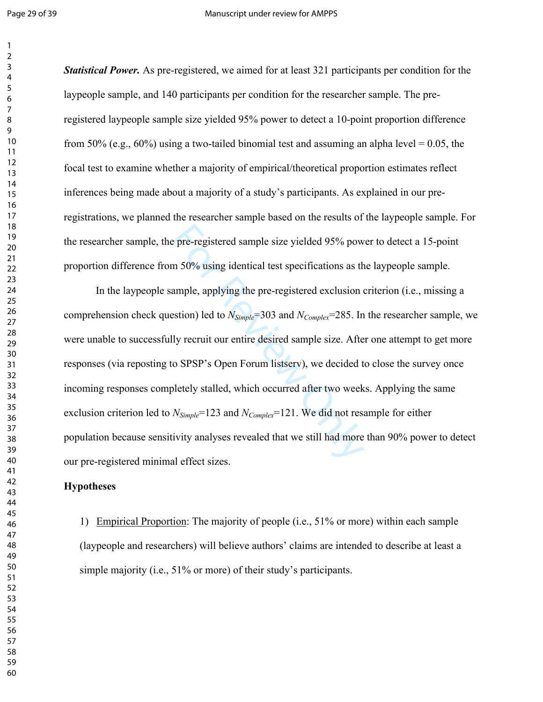$\mathbf{1}$ 

*Statistical Power.* As pre-registered, we aimed for at least 321 participants per condition for the laypeople sample, and 140 participants per condition for the researcher sample. The preregistered laypeople sample size yielded 95% power to detect a 10-point proportion difference from 50% (e.g.,  $60\%$ ) using a two-tailed binomial test and assuming an alpha level = 0.05, the focal test to examine whether a majority of empirical/theoretical proportion estimates reflect inferences being made about a majority of a study's participants. As explained in our preregistrations, we planned the researcher sample based on the results of the laypeople sample. For the researcher sample, the pre-registered sample size yielded 95% power to detect a 15-point proportion difference from 50% using identical test specifications as the laypeople sample.

be pre-registered sample size yielded 95% pow<br>m 50% using identical test specifications as the ample, applying the pre-registered exclusion of<br>estion) led to  $N_{Simple} = 303$  and  $N_{Complete} = 285$ . In<br>ly recruit our entire desired s In the laypeople sample, applying the pre-registered exclusion criterion (i.e., missing a comprehension check question) led to *NSimple*=303 and *NComplex*=285. In the researcher sample, we were unable to successfully recruit our entire desired sample size. After one attempt to get more responses (via reposting to SPSP's Open Forum listserv), we decided to close the survey once incoming responses completely stalled, which occurred after two weeks. Applying the same exclusion criterion led to  $N_{Simple}$ =123 and  $N_{Complex}$ =121. We did not resample for either population because sensitivity analyses revealed that we still had more than 90% power to detect our pre-registered minimal effect sizes.

### **Hypotheses**

1) Empirical Proportion: The majority of people (i.e., 51% or more) within each sample (laypeople and researchers) will believe authors' claims are intended to describe at least a simple majority (i.e., 51% or more) of their study's participants.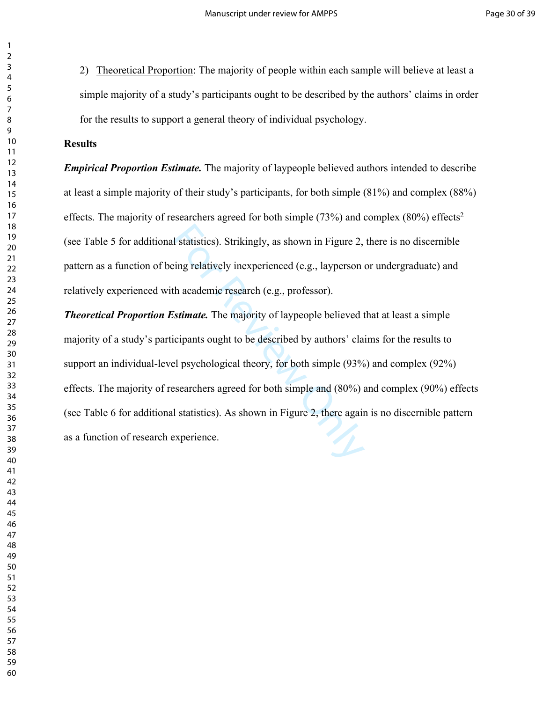2) Theoretical Proportion: The majority of people within each sample will believe at least a simple majority of a study's participants ought to be described by the authors' claims in order for the results to support a general theory of individual psychology.

### **Results**

*Empirical Proportion Estimate.* The majority of laypeople believed authors intended to describe at least a simple majority of their study's participants, for both simple (81%) and complex (88%) effects. The majority of researchers agreed for both simple  $(73%)$  and complex  $(80%)$  effects<sup>2</sup> (see Table 5 for additional statistics). Strikingly, as shown in Figure 2, there is no discernible pattern as a function of being relatively inexperienced (e.g., layperson or undergraduate) and relatively experienced with academic research (e.g., professor).

I statistics). Strikingly, as shown in Figure 2,<br>eing relatively inexperienced (e.g., layperson of<br>th academic research (e.g., professor).<br>Stimate. The majority of laypeople believed to<br>icipants ought to be described by au *Theoretical Proportion Estimate.* The majority of laypeople believed that at least a simple majority of a study's participants ought to be described by authors' claims for the results to support an individual-level psychological theory, for both simple (93%) and complex (92%) effects. The majority of researchers agreed for both simple and (80%) and complex (90%) effects (see Table 6 for additional statistics). As shown in Figure 2, there again is no discernible pattern as a function of research experience.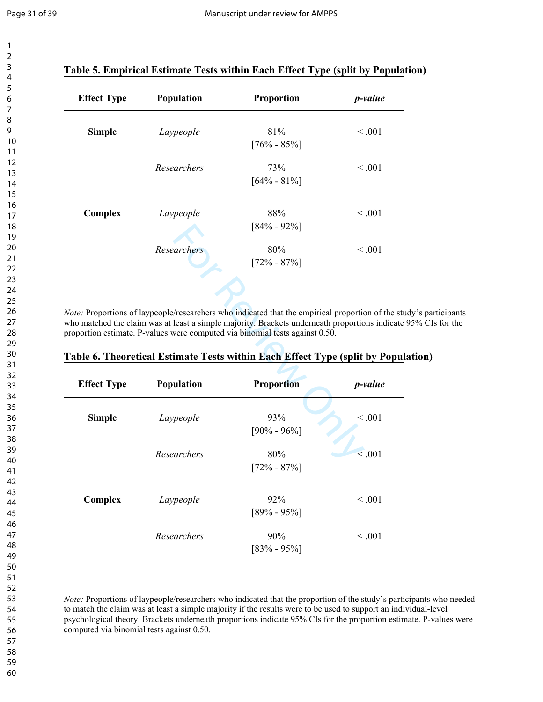$\mathbf{1}$ 

| 1                               |  |
|---------------------------------|--|
| 2                               |  |
| 3                               |  |
| 4                               |  |
| 5                               |  |
| 6                               |  |
|                                 |  |
| 8                               |  |
| d<br>)                          |  |
| 10                              |  |
| 11                              |  |
|                                 |  |
| $\mathbf{1}$<br>フ               |  |
| 13                              |  |
| 1<br>4                          |  |
| 15                              |  |
| 16                              |  |
| 17                              |  |
| 18                              |  |
| 19                              |  |
| 20                              |  |
| $\overline{21}$                 |  |
| $\overline{2}$<br>$\mathcal{P}$ |  |
| $\overline{2}$<br>3             |  |
| $\frac{24}{3}$                  |  |
|                                 |  |
| 25                              |  |
| 26                              |  |
| $^{27}$                         |  |
| $\frac{28}{5}$                  |  |
| 29                              |  |
| 30                              |  |
| $\overline{\textbf{3}}$         |  |
| $\overline{\mathbf{3}}$<br>C    |  |
| ξ<br>$\overline{\mathbf{3}}$    |  |
| 3.<br>4                         |  |
| 35                              |  |
| 36                              |  |
| 37                              |  |
| 88                              |  |
|                                 |  |
| 39                              |  |
| 40                              |  |
| 41                              |  |
| 4<br>2                          |  |
| 43                              |  |
| 44                              |  |
| 45                              |  |
| 46                              |  |
| 47                              |  |
| 48                              |  |
| 49                              |  |
| 50                              |  |
| 51                              |  |
| 5<br>フ                          |  |
| 53                              |  |
|                                 |  |
| 54                              |  |
| 55                              |  |
| 56                              |  |
| 57                              |  |
| 58                              |  |
| 59                              |  |
| 60                              |  |

## **Table 5. Empirical Estimate Tests within Each Effect Type (split by Population)**

| <b>Effect Type</b> | Population  | Proportion             | <i>p</i> -value |
|--------------------|-------------|------------------------|-----------------|
| <b>Simple</b>      | Laypeople   | 81%<br>$[76\% - 85\%]$ | < 0.001         |
|                    | Researchers | 73%<br>$[64\% - 81\%]$ | < 0.001         |
| Complex            | Laypeople   | 88%<br>$[84\% - 92\%]$ | < 0.001         |
|                    | Researchers | 80%<br>$[72\% - 87\%]$ | < 0.001         |

*Note:* Proportions of laypeople/researchers who indicated that the empirical proportion of the study's participants who matched the claim was at least a simple majority. Brackets underneath proportions indicate 95% CIs for the proportion estimate. P-values were computed via binomial tests against 0.50.

| Table 6. Theoretical Estimate Tests within Each Effect Type (split by Population) |  |  |  |  |
|-----------------------------------------------------------------------------------|--|--|--|--|
|                                                                                   |  |  |  |  |

|                    |             | 184% - 92% 1                                                                                                                                                                                                                                                                    |         |
|--------------------|-------------|---------------------------------------------------------------------------------------------------------------------------------------------------------------------------------------------------------------------------------------------------------------------------------|---------|
|                    | Researchers | 80%<br>$[72\% - 87\%]$                                                                                                                                                                                                                                                          | < 0.001 |
|                    |             |                                                                                                                                                                                                                                                                                 |         |
|                    |             | ote: Proportions of laypeople/researchers who indicated that the empirical proportion of the stu<br>no matched the claim was at least a simple majority. Brackets underneath proportions indicate<br>oportion estimate. P-values were computed via binomial tests against 0.50. |         |
|                    |             | able 6. Theoretical Estimate Tests within Each Effect Type (split by Popul                                                                                                                                                                                                      |         |
| <b>Effect Type</b> | Population  | <b>Proportion</b>                                                                                                                                                                                                                                                               | p-value |
| <b>Simple</b>      | Laypeople   | 93%<br>$[90\% - 96\%]$                                                                                                                                                                                                                                                          | < 0.001 |
|                    | Researchers | 80%<br>$[72\% - 87\%]$                                                                                                                                                                                                                                                          | < 0.001 |
| Complex            | Laypeople   | 92%<br>$[89\% - 95\%]$                                                                                                                                                                                                                                                          | < 0.001 |
|                    | Researchers | 90%<br>$[83% - 95%]$                                                                                                                                                                                                                                                            | < 0.001 |

*Note:* Proportions of laypeople/researchers who indicated that the proportion of the study's participants who needed to match the claim was at least a simple majority if the results were to be used to support an individual-level psychological theory. Brackets underneath proportions indicate 95% CIs for the proportion estimate. P-values were computed via binomial tests against 0.50.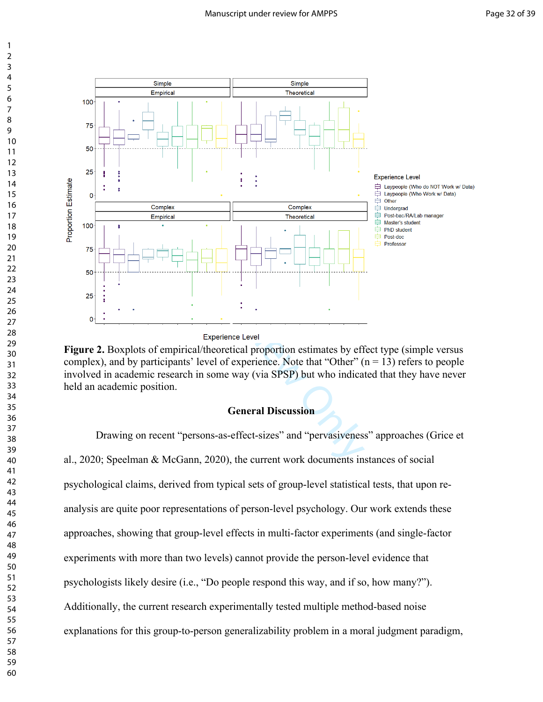

Figure 2. Boxplots of empirical/theoretical proportion estimates by effect type (simple versus complex), and by participants' level of experience. Note that "Other"  $(n = 13)$  refers to people involved in academic research in some way (via SPSP) but who indicated that they have never held an academic position.

### **General Discussion**

 Drawing on recent "persons-as-effect-sizes" and "pervasiveness" approaches (Grice et al., 2020; Speelman & McGann, 2020), the current work documents instances of social psychological claims, derived from typical sets of group-level statistical tests, that upon reanalysis are quite poor representations of person-level psychology. Our work extends these approaches, showing that group-level effects in multi-factor experiments (and single-factor experiments with more than two levels) cannot provide the person-level evidence that psychologists likely desire (i.e., "Do people respond this way, and if so, how many?"). Additionally, the current research experimentally tested multiple method-based noise explanations for this group-to-person generalizability problem in a moral judgment paradigm,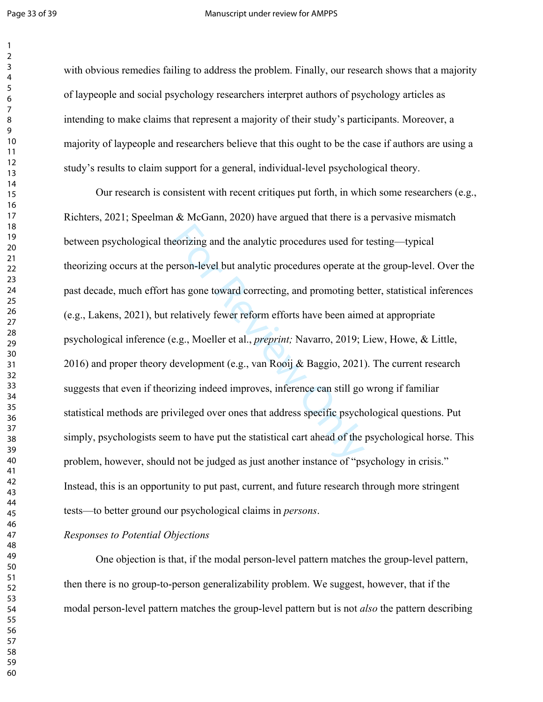$\mathbf{1}$  $\overline{2}$ 

#### Page 33 of 39 Manuscript under review for AMPPS

with obvious remedies failing to address the problem. Finally, our research shows that a majority of laypeople and social psychology researchers interpret authors of psychology articles as intending to make claims that represent a majority of their study's participants. Moreover, a majority of laypeople and researchers believe that this ought to be the case if authors are using a study's results to claim support for a general, individual-level psychological theory.

eorizing and the analytic procedures used for<br>erson-level but analytic procedures operate at<br>has gone toward correcting, and promoting be<br>relatively fewer reform efforts have been aime<br>e.g., Moeller et al., *preprint*; Nav Our research is consistent with recent critiques put forth, in which some researchers (e.g., Richters, 2021; Speelman & McGann, 2020) have argued that there is a pervasive mismatch between psychological theorizing and the analytic procedures used for testing—typical theorizing occurs at the person-level but analytic procedures operate at the group-level. Over the past decade, much effort has gone toward correcting, and promoting better, statistical inferences (e.g., Lakens, 2021), but relatively fewer reform efforts have been aimed at appropriate psychological inference (e.g., Moeller et al., *preprint;* Navarro, 2019; Liew, Howe, & Little, 2016) and proper theory development (e.g., van Rooij & Baggio, 2021). The current research suggests that even if theorizing indeed improves, inference can still go wrong if familiar statistical methods are privileged over ones that address specific psychological questions. Put simply, psychologists seem to have put the statistical cart ahead of the psychological horse. This problem, however, should not be judged as just another instance of "psychology in crisis." Instead, this is an opportunity to put past, current, and future research through more stringent tests—to better ground our psychological claims in *persons* .

## *Responses to Potential Objections*

One objection is that, if the modal person-level pattern matches the group-level pattern, then there is no group-to-person generalizability problem. We suggest, however, that if the modal person-level pattern matches the group-level pattern but is not *also* the pattern describing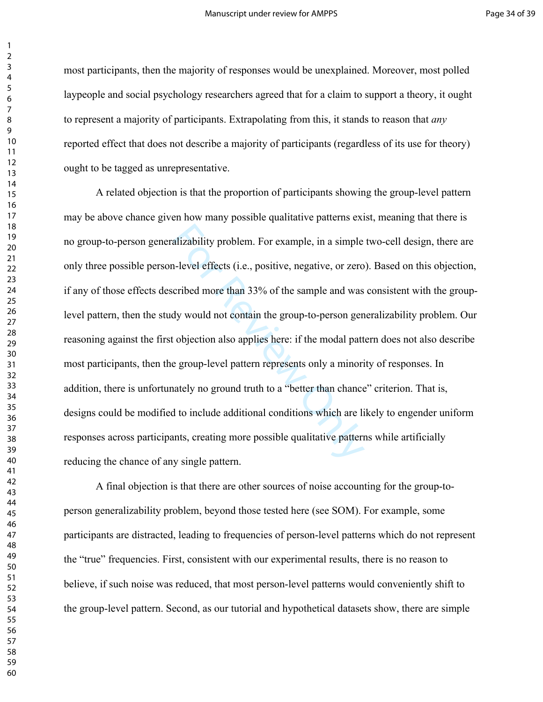most participants, then the majority of responses would be unexplained. Moreover, most polled laypeople and social psychology researchers agreed that for a claim to support a theory, it ought to represent a majority of participants. Extrapolating from this, it stands to reason that *any* reported effect that does not describe a majority of participants (regardless of its use for theory) ought to be tagged as unrepresentative.

alizability problem. For example, in a simple<br>alizability problem. For example, in a simple<br>alizable -level effects (i.e., positive, negative, or zero<br>cribed more than 33% of the sample and was<br>dy would not contain the gro A related objection is that the proportion of participants showing the group-level pattern may be above chance given how many possible qualitative patterns exist, meaning that there is no group-to-person generalizability problem. For example, in a simple two-cell design, there are only three possible person-level effects (i.e., positive, negative, or zero). Based on this objection, if any of those effects described more than 33% of the sample and was consistent with the grouplevel pattern, then the study would not contain the group-to-person generalizability problem. Our reasoning against the first objection also applies here: if the modal pattern does not also describe most participants, then the group-level pattern represents only a minority of responses. In addition, there is unfortunately no ground truth to a "better than chance" criterion. That is, designs could be modified to include additional conditions which are likely to engender uniform responses across participants, creating more possible qualitative patterns while artificially reducing the chance of any single pattern.

A final objection is that there are other sources of noise accounting for the group-toperson generalizability problem, beyond those tested here (see SOM). For example, some participants are distracted, leading to frequencies of person-level patterns which do not represent the "true" frequencies. First, consistent with our experimental results, there is no reason to believe, if such noise was reduced, that most person-level patterns would conveniently shift to the group-level pattern. Second, as our tutorial and hypothetical datasets show, there are simple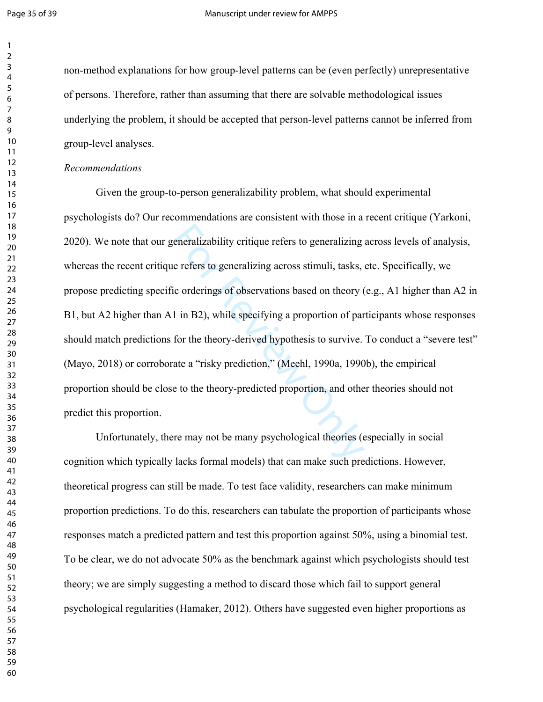$\mathbf{1}$  $\overline{2}$ 

non-method explanations for how group-level patterns can be (even perfectly) unrepresentative of persons. Therefore, rather than assuming that there are solvable methodological issues underlying the problem, it should be accepted that person-level patterns cannot be inferred from group-level analyses.

#### *Recommendations*

eneralizability critique refers to generalizing<br>e refers to generalizing across stimuli, tasks,<br>ic orderings of observations based on theory (<br>1 in B2), while specifying a proportion of par<br>for the theory-derived hypothesi Given the group-to-person generalizability problem, what should experimental psychologists do? Our recommendations are consistent with those in a recent critique (Yarkoni, 2020). We note that our generalizability critique refers to generalizing across levels of analysis, whereas the recent critique refers to generalizing across stimuli, tasks, etc. Specifically, we propose predicting specific orderings of observations based on theory (e.g., A1 higher than A2 in B1, but A2 higher than A1 in B2), while specifying a proportion of participants whose responses should match predictions for the theory-derived hypothesis to survive. To conduct a "severe test" (Mayo, 2018) or corroborate a "risky prediction," (Meehl, 1990a, 1990b), the empirical proportion should be close to the theory-predicted proportion, and other theories should not predict this proportion.

 Unfortunately, there may not be many psychological theories (especially in social cognition which typically lacks formal models) that can make such predictions. However, theoretical progress can still be made. To test face validity, researchers can make minimum proportion predictions. To do this, researchers can tabulate the proportion of participants whose responses match a predicted pattern and test this proportion against 50%, using a binomial test. To be clear, we do not advocate 50% as the benchmark against which psychologists should test theory; we are simply suggesting a method to discard those which fail to support general psychological regularities (Hamaker, 2012). Others have suggested even higher proportions as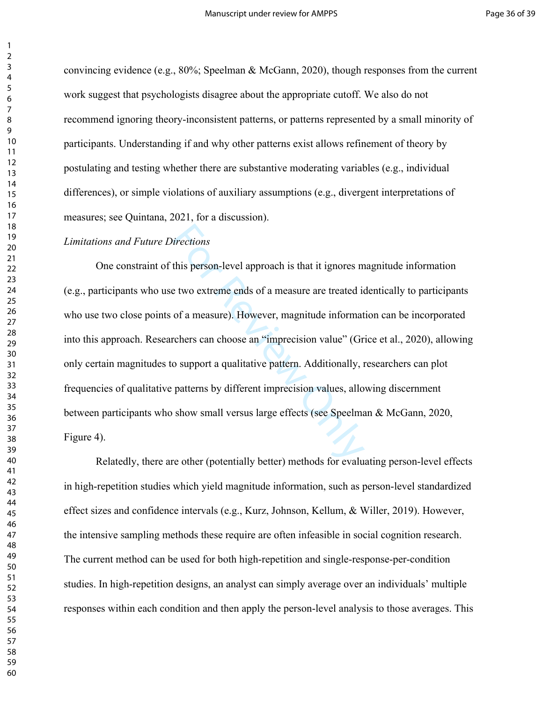convincing evidence (e.g., 80%; Speelman & McGann, 2020), though responses from the current work suggest that psychologists disagree about the appropriate cutoff. We also do not recommend ignoring theory-inconsistent patterns, or patterns represented by a small minority of participants. Understanding if and why other patterns exist allows refinement of theory by postulating and testing whether there are substantive moderating variables (e.g., individual differences), or simple violations of auxiliary assumptions (e.g., divergent interpretations of measures; see Quintana, 2021, for a discussion).

#### *Limitations and Future Directions*

irections<br>this person-level approach is that it ignores m<br>e two extreme ends of a measure are treated io<br>of a measure). However, magnitude informat<br>cchers can choose an "imprecision value" (Gr<br>o support a qualitative patte One constraint of this person-level approach is that it ignores magnitude information (e.g., participants who use two extreme ends of a measure are treated identically to participants who use two close points of a measure). However, magnitude information can be incorporated into this approach. Researchers can choose an "imprecision value" (Grice et al., 2020), allowing only certain magnitudes to support a qualitative pattern. Additionally, researchers can plot frequencies of qualitative patterns by different imprecision values, allowing discernment between participants who show small versus large effects (see Speelman & McGann, 2020, Figure 4).

Relatedly, there are other (potentially better) methods for evaluating person-level effects in high-repetition studies which yield magnitude information, such as person-level standardized effect sizes and confidence intervals (e.g., Kurz, Johnson, Kellum, & Willer, 2019). However, the intensive sampling methods these require are often infeasible in social cognition research. The current method can be used for both high-repetition and single-response-per-condition studies. In high-repetition designs, an analyst can simply average over an individuals' multiple responses within each condition and then apply the person-level analysis to those averages. This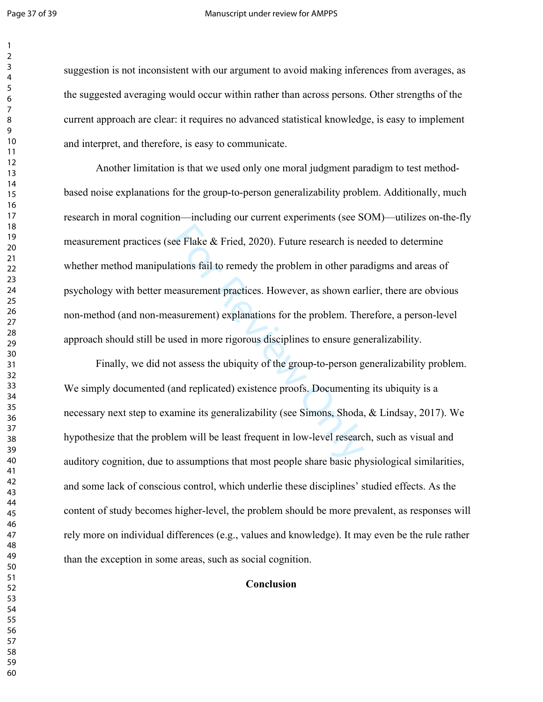$\mathbf{1}$  $\overline{2}$ 

#### Page 37 of 39 Manuscript under review for AMPPS

suggestion is not inconsistent with our argument to avoid making inferences from averages, as the suggested averaging would occur within rather than across persons. Other strengths of the current approach are clear: it requires no advanced statistical knowledge, is easy to implement and interpret, and therefore, is easy to communicate.

ee Flake & Fried, 2020). Future research is networks fail to remedy the problem in other paraeasurement practices. However, as shown ear assurement) explanations for the problem. The sed in more rigorous disciplines to ens Another limitation is that we used only one moral judgment paradigm to test methodbased noise explanations for the group-to-person generalizability problem. Additionally, much research in moral cognition—including our current experiments (see SOM)—utilizes on-the-fly measurement practices (see Flake & Fried, 2020). Future research is needed to determine whether method manipulations fail to remedy the problem in other paradigms and areas of psychology with better measurement practices. However, as shown earlier, there are obvious non-method (and non-measurement) explanations for the problem. Therefore, a person-level approach should still be used in more rigorous disciplines to ensure generalizability.

 Finally, we did not assess the ubiquity of the group-to-person generalizability problem. We simply documented (and replicated) existence proofs. Documenting its ubiquity is a necessary next step to examine its generalizability (see Simons, Shoda, & Lindsay, 2017). We hypothesize that the problem will be least frequent in low-level research, such as visual and auditory cognition, due to assumptions that most people share basic physiological similarities, and some lack of conscious control, which underlie these disciplines' studied effects. As the content of study becomes higher-level, the problem should be more prevalent, as responses will rely more on individual differences (e.g., values and knowledge). It may even be the rule rather than the exception in some areas, such as social cognition.

## **Conclusion**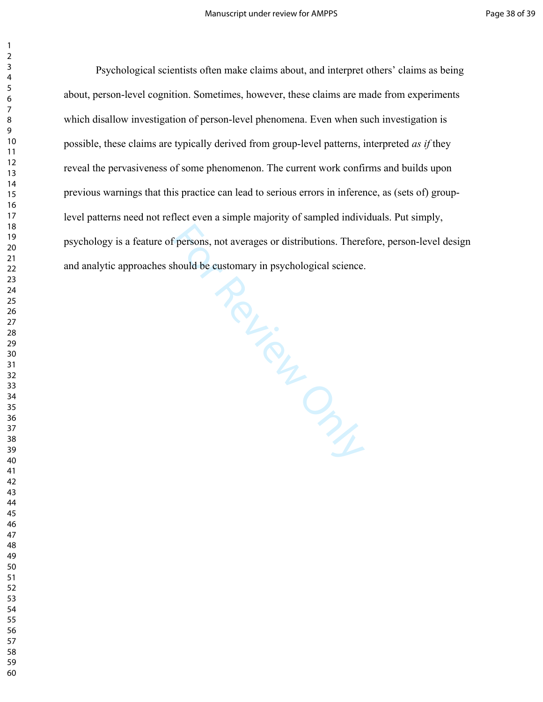Psychological scientists often make claims about, and interpret others' claims as being<br>person-level cognition. Sometimes, however, these claims are made from experiments<br>Isallow investigation of person-level phenomena. Ev about, person-level cognition. Sometimes, however, these claims are made from experiments which disallow investigation of person-level phenomena. Even when such investigation is possible, these claims are typically derived from group-level patterns, interpreted *as if* they reveal the pervasiveness of some phenomenon. The current work confirms and builds upon previous warnings that this practice can lead to serious errors in inference, as (sets of) grouplevel patterns need not reflect even a simple majority of sampled individuals. Put simply, psychology is a feature of persons, not averages or distributions. Therefore, person-level design and analytic approaches should be customary in psychological science.

- 
-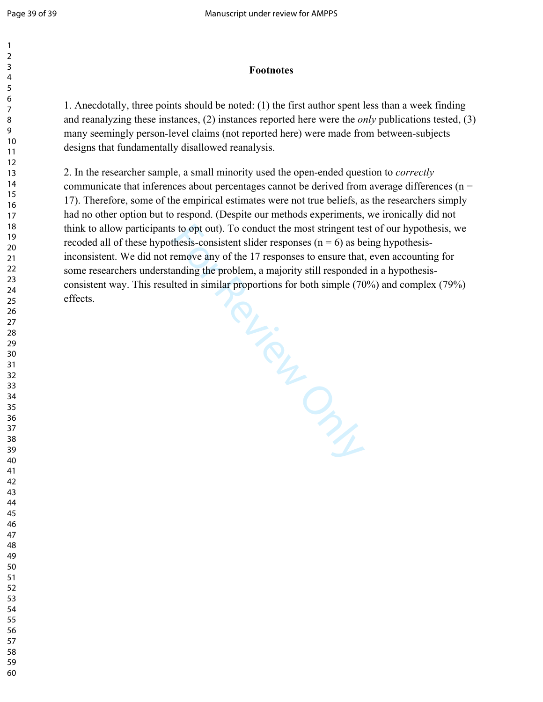## **Footnotes**

1. Anecdotally, three points should be noted: (1) the first author spent less than a week finding and reanalyzing these instances, (2) instances reported here were the *only* publications tested, (3) many seemingly person-level claims (not reported here) were made from between-subjects designs that fundamentally disallowed reanalysis.

I in sure of Clay Clay Congress of Clay Congress of Clay 2. In the researcher sample, a small minority used the open-ended question to *correctly*  communicate that inferences about percentages cannot be derived from average differences ( $n =$ 17). Therefore, some of the empirical estimates were not true beliefs, as the researchers simply had no other option but to respond. (Despite our methods experiments, we ironically did not think to allow participants to opt out). To conduct the most stringent test of our hypothesis, we recoded all of these hypothesis-consistent slider responses ( $n = 6$ ) as being hypothesisinconsistent. We did not remove any of the 17 responses to ensure that, even accounting for some researchers understanding the problem, a majority still responded in a hypothesisconsistent way. This resulted in similar proportions for both simple (70%) and complex (79%) effects.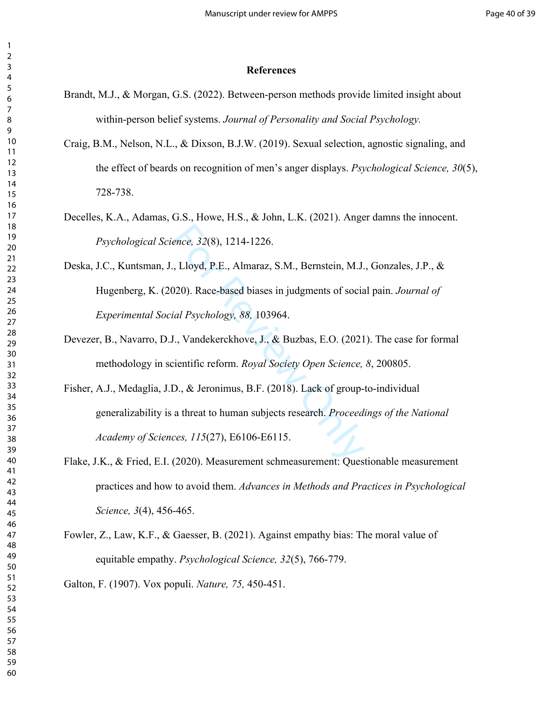#### **References**

- Brandt, M.J., & Morgan, G.S. (2022). Between-person methods provide limited insight about within-person belief systems. *Journal of Personality and Social Psychology.*
- Craig, B.M., Nelson, N.L., & Dixson, B.J.W. (2019). Sexual selection, agnostic signaling, and the effect of beards on recognition of men's anger displays. *Psychological Science, 30*(5), 728-738.
- Decelles, K.A., Adamas, G.S., Howe, H.S., & John, L.K. (2021). Anger damns the innocent. *Psychological Science, 32*(8), 1214-1226.
- ence, 32(8), 1214-1226.<br>
, Lloyd, P.E., Almaraz, S.M., Bernstein, M.J.<br>
120). Race-based biases in judgments of sociatial Psychology, 88, 103964.<br>
.., Vandekerckhove, J., & Buzbas, E.O. (2021)<br>
dientific reform. Royal Soci Deska, J.C., Kuntsman, J., Lloyd, P.E., Almaraz, S.M., Bernstein, M.J., Gonzales, J.P., & Hugenberg, K. (2020). Race-based biases in judgments of social pain. *Journal of Experimental Social Psychology, 88,* 103964.
- Devezer, B., Navarro, D.J., Vandekerckhove, J., & Buzbas, E.O. (2021). The case for formal methodology in scientific reform. *Royal Society Open Science, 8*, 200805.
- Fisher, A.J., Medaglia, J.D., & Jeronimus, B.F. (2018). Lack of group-to-individual generalizability is a threat to human subjects research. *Proceedings of the National Academy of Sciences, 115*(27), E6106-E6115.
- Flake, J.K., & Fried, E.I. (2020). Measurement schmeasurement: Questionable measurement practices and how to avoid them. *Advances in Methods and Practices in Psychological Science, 3*(4), 456-465.
- Fowler, Z., Law, K.F., & Gaesser, B. (2021). Against empathy bias: The moral value of equitable empathy. *Psychological Science, 32*(5), 766-779.

Galton, F. (1907). Vox populi. *Nature, 75,* 450-451.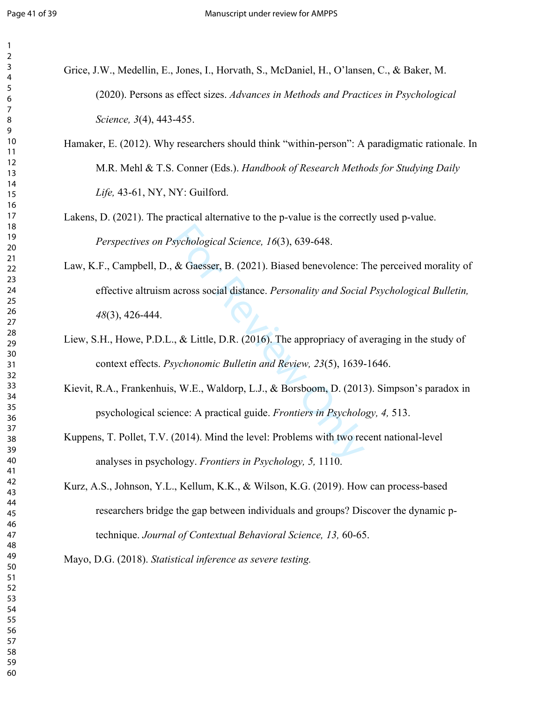$\mathbf{1}$ 

- Grice, J.W., Medellin, E., Jones, I., Horvath, S., McDaniel, H., O'lansen, C., & Baker, M. (2020). Persons as effect sizes. *Advances in Methods and Practices in Psychological Science, 3*(4), 443-455.
- Hamaker, E. (2012). Why researchers should think "within-person": A paradigmatic rationale. In M.R. Mehl & T.S. Conner (Eds.). *Handbook of Research Methods for Studying Daily Life,* 43-61, NY, NY: Guilford.
- Lakens, D. (2021). The practical alternative to the p-value is the correctly used p-value. *Perspectives on Psychological Science, 16*(3), 639-648.
- sychological Science, 16(3), 639-648.<br>
& Gaesser, B. (2021). Biased benevolence: T<br>
across social distance. *Personality and Social*.<br>
., & Little, D.R. (2016). The appropriacy of a<br>
sychonomic Bulletin and Review, 23(5), Law, K.F., Campbell, D., & Gaesser, B. (2021). Biased benevolence: The perceived morality of effective altruism across social distance. *Personality and Social Psychological Bulletin,*  (3), 426-444.
- Liew, S.H., Howe, P.D.L., & Little, D.R. (2016). The appropriacy of averaging in the study of context effects. *Psychonomic Bulletin and Review, 23*(5), 1639-1646.
- Kievit, R.A., Frankenhuis, W.E., Waldorp, L.J., & Borsboom, D. (2013). Simpson's paradox in psychological science: A practical guide. *Frontiers in Psychology, 4,* 513.
- Kuppens, T. Pollet, T.V. (2014). Mind the level: Problems with two recent national-level analyses in psychology. *Frontiers in Psychology, 5,* 1110.
- Kurz, A.S., Johnson, Y.L., Kellum, K.K., & Wilson, K.G. (2019). How can process-based researchers bridge the gap between individuals and groups? Discover the dynamic ptechnique. *Journal of Contextual Behavioral Science, 13,* 60-65.

Mayo, D.G. (2018). *Statistical inference as severe testing.*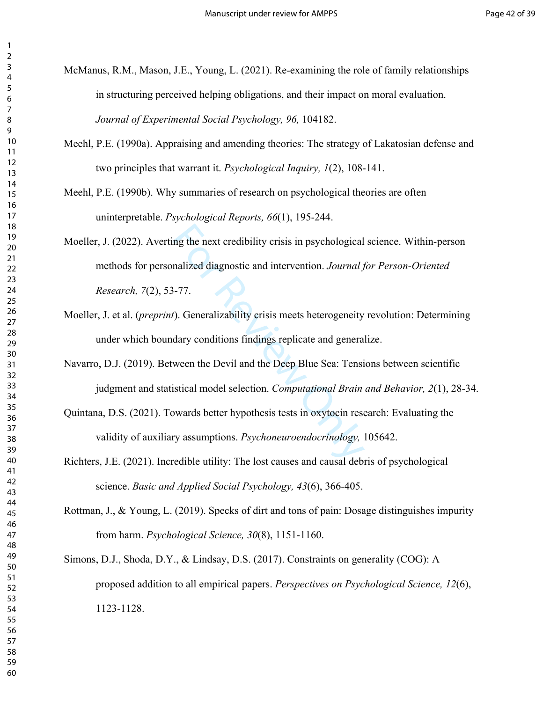- McManus, R.M., Mason, J.E., Young, L. (2021). Re-examining the role of family relationships in structuring perceived helping obligations, and their impact on moral evaluation. *Journal of Experimental Social Psychology, 96,* 104182.
- Meehl, P.E. (1990a). Appraising and amending theories: The strategy of Lakatosian defense and two principles that warrant it. *Psychological Inquiry, 1*(2), 108-141.
- Meehl, P.E. (1990b). Why summaries of research on psychological theories are often uninterpretable. *Psychological Reports, 66*(1), 195-244.
- mandized diagnostic and intervention. *Journal 1*<br>
1-77.<br>
1-77.<br>
1-77.<br> **Continuosing the intervention** *Cournal 1*<br>
1-77.<br>
1-8.<br> **Continuosity Constants in the Deep Blue Sea: Tensing isometrical model selection.** *Computat* Moeller, J. (2022). [A](https://d.docs.live.net/247d33c97dae7e58/Documents/BC%20Experiments/Applying%20Persons%20As%20Effect%20Sizes/PaES_Shortened_5%20(03-2022)%20RM.docx#_msocom_55)verting the next credibility crisis in psychological science. Within-person methods for personalized diagnostic and intervention. *Journal for Person-Oriented Research, 7*(2), 53-77.
- Moeller, J. et al. (*preprint*). Generalizability crisis meets heterogeneity revolution: Determining under which boundary conditions findings replicate and generalize.
- Navarro, D.J. (2019). Between the Devil and the Deep Blue Sea: Tensions between scientific judgment and statistical model selection. *Computational Brain and Behavior, 2*(1), 28-34.
- Quintana, D.S. (2021). Towards better hypothesis tests in oxytocin research: Evaluating the validity of auxiliary assumptions. *Psychoneuroendocrinology,* 105642.
- Richters, J.E. (2021). Incredible utility: The lost causes and causal debris of psychological science. *Basic and Applied Social Psychology, 43*(6), 366-405.
- Rottman, J., & Young, L. (2019). Specks of dirt and tons of pain: Dosage distinguishes impurity from harm. *Psychological Science, 30*(8), 1151-1160.
- Simons, D.J., Shoda, D.Y., & Lindsay, D.S. (2017). Constraints on generality (COG): A proposed addition to all empirical papers. *Perspectives on Psychological Science, 12*(6), 1123-1128.